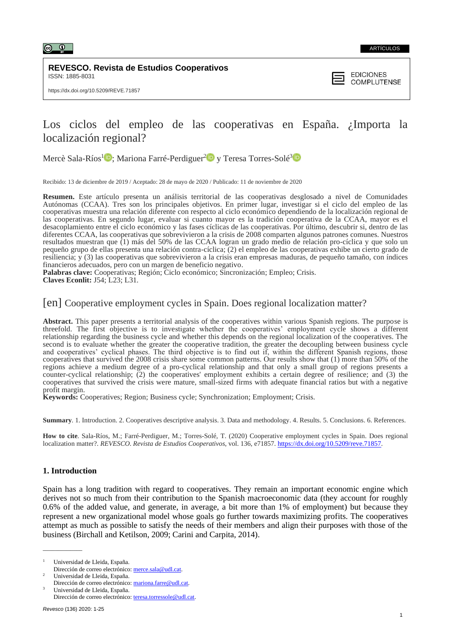

#### ARTÍCULOS

**REVESCO. Revista de Estudios Cooperativos** ISSN: 1885-8031



# Los ciclos del empleo de las cooperativas en España. ¿Importa la localización regional?

Mercè Sala-Ríos<sup>1</sup><sup>1</sup>: Mariona Farré-Perdiguer<sup>[2](https://orcid.org/0000-0002-2105-1101)1</sup><sup>1</sup> y Teresa Torres-Solé<sup>[3](https://orcid.org/0000-0002-2861-5213)</sup>

Recibido: 13 de diciembre de 2019 / Aceptado: 28 de mayo de 2020 / Publicado: 11 de noviembre de 2020

**Resumen.** Este artículo presenta un análisis territorial de las cooperativas desglosado a nivel de Comunidades Autónomas (CCAA). Tres son los principales objetivos. En primer lugar, investigar si el ciclo del empleo de las cooperativas muestra una relación diferente con respecto al ciclo económico dependiendo de la localización regional de las cooperativas. En segundo lugar, evaluar si cuanto mayor es la tradición cooperativa de la CCAA, mayor es el desacoplamiento entre el ciclo económico y las fases cíclicas de las cooperativas. Por último, descubrir si, dentro de las diferentes CCAA, las cooperativas que sobrevivieron a la crisis de 2008 comparten algunos patrones comunes. Nuestros resultados muestran que (1) más del 50% de las CCAA logran un grado medio de relación pro-cíclica y que solo un pequeño grupo de ellas presenta una relación contra-cíclica; (2) el empleo de las cooperativas exhibe un cierto grado de resiliencia; y (3) las cooperativas que sobrevivieron a la crisis eran empresas maduras, de pequeño tamaño, con índices financieros adecuados, pero con un margen de beneficio negativo.

**Palabras clave:** Cooperativas; Región; Ciclo económico; Sincronización; Empleo; Crisis. **Claves Econlit:** J54; L23; L31*.*

## [en] Cooperative employment cycles in Spain. Does regional localization matter?

**Abstract.** This paper presents a territorial analysis of the cooperatives within various Spanish regions. The purpose is threefold. The first objective is to investigate whether the cooperatives' employment cycle shows a different relationship regarding the business cycle and whether this depends on the regional localization of the cooperatives. The second is to evaluate whether the greater the cooperative tradition, the greater the decoupling between business cycle and cooperatives' cyclical phases. The third objective is to find out if, within the different Spanish regions, those cooperatives that survived the 2008 crisis share some common patterns. Our results show that (1) more than 50% of the regions achieve a medium degree of a pro-cyclical relationship and that only a small group of regions presents a counter-cyclical relationship; (2) the cooperatives' employment exhibits a certain degree of resilience; and (3) the cooperatives that survived the crisis were mature, small-sized firms with adequate financial ratios but with a negative profit margin.

**Keywords:** Cooperatives; Region; Business cycle; Synchronization; Employment; Crisis.

**Summary**. 1. Introduction. 2. Cooperatives descriptive analysis. 3. Data and methodology. 4. Results. 5. Conclusions. 6. References.

**How to cite**. Sala-Ríos, M.; Farré-Perdiguer, M.; Torres-Solé, T. (2020) Cooperative employment cycles in Spain. Does regional localization matter?. *REVESCO. Revista de Estudios Cooperativos*, vol. 136, e71857. [https://dx.doi.org/10.5209/reve.71857.](https://dx.doi.org/10.5209/reve.71857)

## **1. Introduction**

Spain has a long tradition with regard to cooperatives. They remain an important economic engine which derives not so much from their contribution to the Spanish macroeconomic data (they account for roughly 0.6% of the added value, and generate, in average, a bit more than 1% of employment) but because they represent a new organizational model whose goals go further towards maximizing profits. The cooperatives attempt as much as possible to satisfy the needs of their members and align their purposes with those of the business (Birchall and Ketilson, 2009; Carini and Carpita, 2014).

\_\_\_\_\_\_\_\_\_\_\_\_\_

<sup>1</sup> Universidad de Lleida, España. Dirección de correo electrónico: [merce.sala@udl.cat.](mailto:merce.sala@udl.cat)

<sup>2</sup> Universidad de Lleida, España. Dirección de correo electrónico: [mariona.farre@udl.cat.](mailto:mariona.farre@udl.cat)

Universidad de Lleida, España. Dirección de correo electrónico: [teresa.torressole@udl.cat.](mailto:teresa.torressole@udl.cat)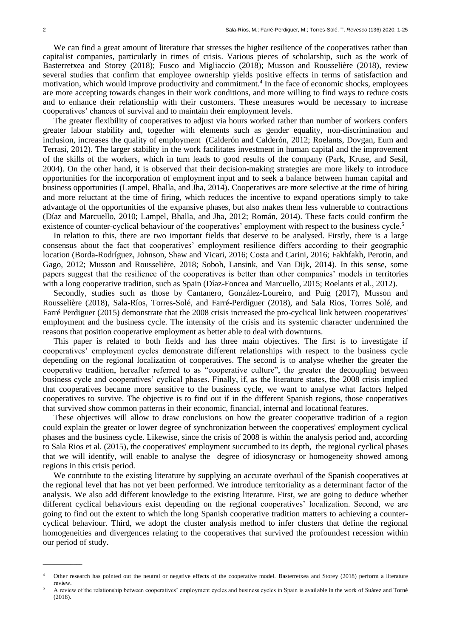$\overline{\phantom{a}}$ 

We can find a great amount of literature that stresses the higher resilience of the cooperatives rather than capitalist companies, particularly in times of crisis. Various pieces of scholarship, such as the work of Basterretxea and Storey (2018); Fusco and Migliaccio (2018); Musson and Rousselière (2018), review several studies that confirm that employee ownership yields positive effects in terms of satisfaction and motivation, which would improve productivity and commitment.<sup>4</sup> In the face of economic shocks, employees are more accepting towards changes in their work conditions, and more willing to find ways to reduce costs and to enhance their relationship with their customers. These measures would be necessary to increase cooperatives' chances of survival and to maintain their employment levels.

The greater flexibility of cooperatives to adjust via hours worked rather than number of workers confers greater labour stability and, together with elements such as gender equality, non-discrimination and inclusion, increases the quality of employment (Calderón and Calderón, 2012; Roelants, Dovgan, Eum and Terrasi, 2012). The larger stability in the work facilitates investment in human capital and the improvement of the skills of the workers, which in turn leads to good results of the company (Park, Kruse, and Sesil, 2004). On the other hand, it is observed that their decision-making strategies are more likely to introduce opportunities for the incorporation of employment input and to seek a balance between human capital and business opportunities (Lampel, Bhalla, and Jha, 2014). Cooperatives are more selective at the time of hiring and more reluctant at the time of firing, which reduces the incentive to expand operations simply to take advantage of the opportunities of the expansive phases, but also makes them less vulnerable to contractions (Díaz and Marcuello, 2010; Lampel, Bhalla, and Jha, 2012; Román, 2014). These facts could confirm the existence of counter-cyclical behaviour of the cooperatives' employment with respect to the business cycle.<sup>5</sup>

In relation to this, there are two important fields that deserve to be analysed. Firstly, there is a large consensus about the fact that cooperatives' employment resilience differs according to their geographic location (Borda-Rodríguez, Johnson, Shaw and Vicari, 2016; Costa and Carini, 2016; Fakhfakh, Perotin, and Gago, 2012; Musson and Rousselière, 2018; Soboh, Lansink, and Van Dijk, 2014). In this sense, some papers suggest that the resilience of the cooperatives is better than other companies' models in territories with a long cooperative tradition, such as Spain (Díaz-Foncea and Marcuello, 2015; Roelants et al., 2012).

Secondly, studies such as those by Cantanero, González-Loureiro, and Puig (2017), Musson and Rousselière (2018), Sala-Ríos, Torres-Solé, and Farré-Perdiguer (2018), and Sala Rios, Torres Solé, and Farré Perdiguer (2015) demonstrate that the 2008 crisis increased the pro-cyclical link between cooperatives' employment and the business cycle. The intensity of the crisis and its systemic character undermined the reasons that position cooperative employment as better able to deal with downturns.

This paper is related to both fields and has three main objectives. The first is to investigate if cooperatives' employment cycles demonstrate different relationships with respect to the business cycle depending on the regional localization of cooperatives. The second is to analyse whether the greater the cooperative tradition, hereafter referred to as "cooperative culture", the greater the decoupling between business cycle and cooperatives' cyclical phases. Finally, if, as the literature states, the 2008 crisis implied that cooperatives became more sensitive to the business cycle, we want to analyse what factors helped cooperatives to survive. The objective is to find out if in the different Spanish regions, those cooperatives that survived show common patterns in their economic, financial, internal and locational features.

These objectives will allow to draw conclusions on how the greater cooperative tradition of a region could explain the greater or lower degree of synchronization between the cooperatives' employment cyclical phases and the business cycle. Likewise, since the crisis of 2008 is within the analysis period and, according to Sala Rios et al. (2015), the cooperatives' employment succumbed to its depth, the regional cyclical phases that we will identify, will enable to analyse the degree of idiosyncrasy or homogeneity showed among regions in this crisis period.

We contribute to the existing literature by supplying an accurate overhaul of the Spanish cooperatives at the regional level that has not yet been performed. We introduce territoriality as a determinant factor of the analysis. We also add different knowledge to the existing literature. First, we are going to deduce whether different cyclical behaviours exist depending on the regional cooperatives' localization. Second, we are going to find out the extent to which the long Spanish cooperative tradition matters to achieving a countercyclical behaviour. Third, we adopt the cluster analysis method to infer clusters that define the regional homogeneities and divergences relating to the cooperatives that survived the profoundest recession within our period of study.

Other research has pointed out the neutral or negative effects of the cooperative model. Basterretxea and Storey (2018) perform a literature review.

<sup>5</sup> A review of the relationship between cooperatives' employment cycles and business cycles in Spain is available in the work of Suárez and Torné (2018).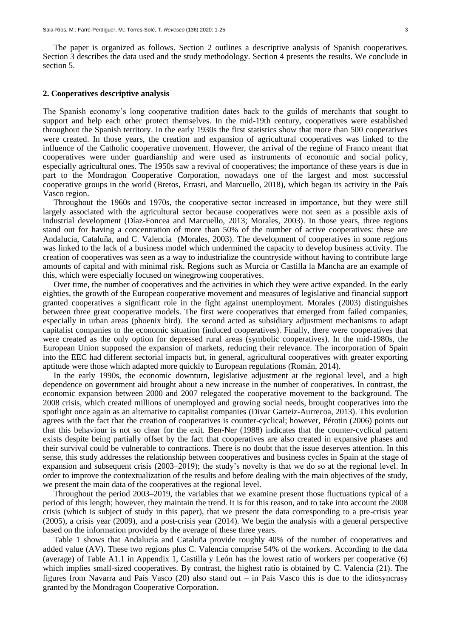The paper is organized as follows. Section 2 outlines a descriptive analysis of Spanish cooperatives. Section 3 describes the data used and the study methodology. Section 4 presents the results. We conclude in section 5.

#### **2. Cooperatives descriptive analysis**

The Spanish economy's long cooperative tradition dates back to the guilds of merchants that sought to support and help each other protect themselves. In the mid-19th century, cooperatives were established throughout the Spanish territory. In the early 1930s the first statistics show that more than 500 cooperatives were created. In those years, the creation and expansion of agricultural cooperatives was linked to the influence of the Catholic cooperative movement. However, the arrival of the regime of Franco meant that cooperatives were under guardianship and were used as instruments of economic and social policy, especially agricultural ones. The 1950s saw a revival of cooperatives; the importance of these years is due in part to the Mondragon Cooperative Corporation, nowadays one of the largest and most successful cooperative groups in the world (Bretos, Errasti, and Marcuello, 2018), which began its activity in the País Vasco region.

Throughout the 1960s and 1970s, the cooperative sector increased in importance, but they were still largely associated with the agricultural sector because cooperatives were not seen as a possible axis of industrial development (Díaz-Foncea and Marcuello, 2013; Morales, 2003). In those years, three regions stand out for having a concentration of more than 50% of the number of active cooperatives: these are Andalucía, Cataluña, and C. Valencia (Morales, 2003). The development of cooperatives in some regions was linked to the lack of a business model which undermined the capacity to develop business activity. The creation of cooperatives was seen as a way to industrialize the countryside without having to contribute large amounts of capital and with minimal risk. Regions such as Murcia or Castilla la Mancha are an example of this, which were especially focused on winegrowing cooperatives.

Over time, the number of cooperatives and the activities in which they were active expanded. In the early eighties, the growth of the European cooperative movement and measures of legislative and financial support granted cooperatives a significant role in the fight against unemployment. Morales (2003) distinguishes between three great cooperative models. The first were cooperatives that emerged from failed companies, especially in urban areas (phoenix bird). The second acted as subsidiary adjustment mechanisms to adapt capitalist companies to the economic situation (induced cooperatives). Finally, there were cooperatives that were created as the only option for depressed rural areas (symbolic cooperatives). In the mid-1980s, the European Union supposed the expansion of markets, reducing their relevance. The incorporation of Spain into the EEC had different sectorial impacts but, in general, agricultural cooperatives with greater exporting aptitude were those which adapted more quickly to European regulations (Román, 2014).

In the early 1990s, the economic downturn, legislative adjustment at the regional level, and a high dependence on government aid brought about a new increase in the number of cooperatives. In contrast, the economic expansion between 2000 and 2007 relegated the cooperative movement to the background. The 2008 crisis, which created millions of unemployed and growing social needs, brought cooperatives into the spotlight once again as an alternative to capitalist companies (Divar Garteiz-Aurrecoa, 2013). This evolution agrees with the fact that the creation of cooperatives is counter-cyclical; however, Pérotin (2006) points out that this behaviour is not so clear for the exit. Ben-Ner (1988) indicates that the counter-cyclical pattern exists despite being partially offset by the fact that cooperatives are also created in expansive phases and their survival could be vulnerable to contractions. There is no doubt that the issue deserves attention. In this sense, this study addresses the relationship between cooperatives and business cycles in Spain at the stage of expansion and subsequent crisis (2003–2019); the study's novelty is that we do so at the regional level. In order to improve the contextualization of the results and before dealing with the main objectives of the study, we present the main data of the cooperatives at the regional level.

Throughout the period 2003–2019, the variables that we examine present those fluctuations typical of a period of this length; however, they maintain the trend. It is for this reason, and to take into account the 2008 crisis (which is subject of study in this paper), that we present the data corresponding to a pre-crisis year (2005), a crisis year (2009), and a post-crisis year (2014). We begin the analysis with a general perspective based on the information provided by the average of these three years.

Table 1 shows that Andalucía and Cataluña provide roughly 40% of the number of cooperatives and added value (AV). These two regions plus C. Valencia comprise 54% of the workers. According to the data (average) of Table A1.1 in Appendix 1, Castilla y León has the lowest ratio of workers per cooperative (6) which implies small-sized cooperatives. By contrast, the highest ratio is obtained by C. Valencia (21). The figures from Navarra and País Vasco (20) also stand out – in País Vasco this is due to the idiosyncrasy granted by the Mondragon Cooperative Corporation.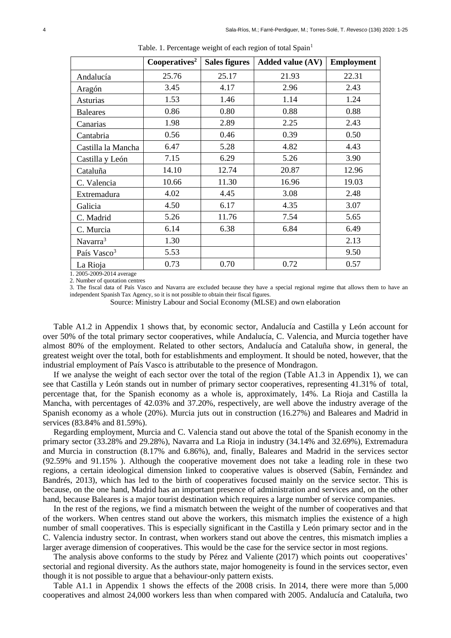|                         | Cooperatives $\overline{s^2}$ | <b>Sales figures</b> | <b>Added value (AV)</b> | <b>Employment</b> |
|-------------------------|-------------------------------|----------------------|-------------------------|-------------------|
| Andalucía               | 25.76                         | 25.17                | 21.93                   | 22.31             |
| Aragón                  | 3.45                          | 4.17                 | 2.96                    | 2.43              |
| Asturias                | 1.53                          | 1.46                 | 1.14                    | 1.24              |
| <b>Baleares</b>         | 0.86                          | 0.80                 | 0.88                    | 0.88              |
| Canarias                | 1.98                          | 2.89                 | 2.25                    | 2.43              |
| Cantabria               | 0.56                          | 0.46                 | 0.39                    | 0.50              |
| Castilla la Mancha      | 6.47                          | 5.28                 | 4.82                    | 4.43              |
| Castilla y León         | 7.15                          | 6.29                 | 5.26                    | 3.90              |
| Cataluña                | 14.10                         | 12.74                | 20.87                   | 12.96             |
| C. Valencia             | 10.66                         | 11.30                | 16.96                   | 19.03             |
| Extremadura             | 4.02                          | 4.45                 | 3.08                    | 2.48              |
| Galicia                 | 4.50                          | 6.17                 | 4.35                    | 3.07              |
| C. Madrid               | 5.26                          | 11.76                | 7.54                    | 5.65              |
| C. Murcia               | 6.14                          | 6.38                 | 6.84                    | 6.49              |
| Navarra <sup>3</sup>    | 1.30                          |                      |                         | 2.13              |
| País Vasco <sup>3</sup> | 5.53                          |                      |                         | 9.50              |
| La Rioja                | 0.73                          | 0.70                 | 0.72                    | 0.57              |

Table. 1. Percentage weight of each region of total Spain<sup>1</sup>

1. 2005-2009-2014 average

2. Number of quotation centres

3. The fiscal data of País Vasco and Navarra are excluded because they have a special regional regime that allows them to have an independent Spanish Tax Agency, so it is not possible to obtain their fiscal figures.

Source: Ministry Labour and Social Economy (MLSE) and own elaboration

Table A1.2 in Appendix 1 shows that, by economic sector, Andalucía and Castilla y León account for over 50% of the total primary sector cooperatives, while Andalucía, C. Valencia, and Murcia together have almost 80% of the employment. Related to other sectors, Andalucía and Cataluña show, in general, the greatest weight over the total, both for establishments and employment. It should be noted, however, that the industrial employment of País Vasco is attributable to the presence of Mondragon.

If we analyse the weight of each sector over the total of the region (Table A1.3 in Appendix 1), we can see that Castilla y León stands out in number of primary sector cooperatives, representing 41.31% of total, percentage that, for the Spanish economy as a whole is, approximately, 14%. La Rioja and Castilla la Mancha, with percentages of 42.03% and 37.20%, respectively, are well above the industry average of the Spanish economy as a whole (20%). Murcia juts out in construction (16.27%) and Baleares and Madrid in services (83.84% and 81.59%).

Regarding employment, Murcia and C. Valencia stand out above the total of the Spanish economy in the primary sector (33.28% and 29.28%), Navarra and La Rioja in industry (34.14% and 32.69%), Extremadura and Murcia in construction (8.17% and 6.86%), and, finally, Baleares and Madrid in the services sector (92.59% and 91.15% ). Although the cooperative movement does not take a leading role in these two regions, a certain ideological dimension linked to cooperative values is observed (Sabín, Fernández and Bandrés, 2013), which has led to the birth of cooperatives focused mainly on the service sector. This is because, on the one hand, Madrid has an important presence of administration and services and, on the other hand, because Baleares is a major tourist destination which requires a large number of service companies.

In the rest of the regions, we find a mismatch between the weight of the number of cooperatives and that of the workers. When centres stand out above the workers, this mismatch implies the existence of a high number of small cooperatives. This is especially significant in the Castilla y León primary sector and in the C. Valencia industry sector. In contrast, when workers stand out above the centres, this mismatch implies a larger average dimension of cooperatives. This would be the case for the service sector in most regions.

The analysis above conforms to the study by Pérez and Valiente (2017) which points out cooperatives' sectorial and regional diversity. As the authors state, major homogeneity is found in the services sector, even though it is not possible to argue that a behaviour-only pattern exists.

Table A1.1 in Appendix 1 shows the effects of the 2008 crisis. In 2014, there were more than 5,000 cooperatives and almost 24,000 workers less than when compared with 2005. Andalucía and Cataluña, two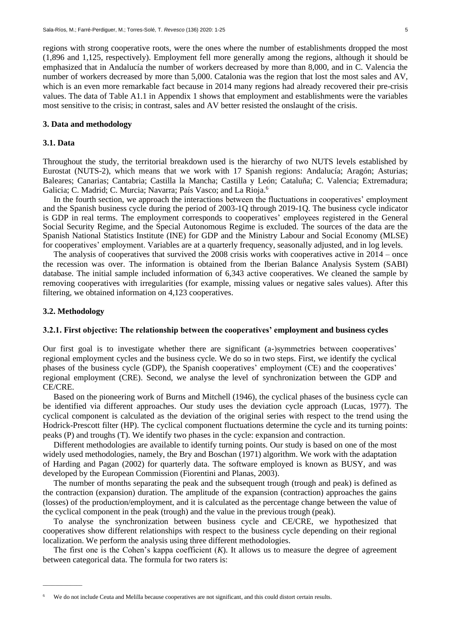regions with strong cooperative roots, were the ones where the number of establishments dropped the most (1,896 and 1,125, respectively). Employment fell more generally among the regions, although it should be emphasized that in Andalucía the number of workers decreased by more than 8,000, and in C. Valencia the number of workers decreased by more than 5,000. Catalonia was the region that lost the most sales and AV, which is an even more remarkable fact because in 2014 many regions had already recovered their pre-crisis values. The data of Table A1.1 in Appendix 1 shows that employment and establishments were the variables most sensitive to the crisis; in contrast, sales and AV better resisted the onslaught of the crisis.

## **3. Data and methodology**

#### **3.1. Data**

Throughout the study, the territorial breakdown used is the hierarchy of two NUTS levels established by [Eurostat](https://en.wikipedia.org/wiki/Eurostat) (NUTS-2), which means that we work with 17 Spanish regions: Andalucía; Aragón; Asturias; Baleares; Canarias; Cantabria; Castilla la Mancha; Castilla y León; Cataluña; C. Valencia; Extremadura; Galicia; C. Madrid; C. Murcia; Navarra; País Vasco; and La Rioja.<sup>6</sup>

In the fourth section, we approach the interactions between the fluctuations in cooperatives' employment and the Spanish business cycle during the period of 2003-1Q through 2019-1Q. The business cycle indicator is GDP in real terms. The employment corresponds to cooperatives' employees registered in the General Social Security Regime, and the Special Autonomous Regime is excluded. The sources of the data are the Spanish National Statistics Institute (INE) for GDP and the Ministry Labour and Social Economy (MLSE) for cooperatives' employment. Variables are at a quarterly frequency, seasonally adjusted, and in log levels.

The analysis of cooperatives that survived the 2008 crisis works with cooperatives active in 2014 – once the recession was over. The information is obtained from the Iberian Balance Analysis System (SABI) database. The initial sample included information of 6,343 active cooperatives. We cleaned the sample by removing cooperatives with irregularities (for example, missing values or negative sales values). After this filtering, we obtained information on 4,123 cooperatives.

### **3.2. Methodology**

\_\_\_\_\_\_\_\_\_\_\_\_\_

## **3.2.1. First objective: The relationship between the cooperatives' employment and business cycles**

Our first goal is to investigate whether there are significant (a-)symmetries between cooperatives' regional employment cycles and the business cycle. We do so in two steps. First, we identify the cyclical phases of the business cycle (GDP), the Spanish cooperatives' employment (CE) and the cooperatives' regional employment (CRE). Second, we analyse the level of synchronization between the GDP and CE/CRE.

Based on the pioneering work of Burns and Mitchell (1946), the cyclical phases of the business cycle can be identified via different approaches. Our study uses the deviation cycle approach (Lucas, 1977). The cyclical component is calculated as the deviation of the original series with respect to the trend using the Hodrick-Prescott filter (HP). The cyclical component fluctuations determine the cycle and its turning points: peaks (P) and troughs (T). We identify two phases in the cycle: expansion and contraction.

Different methodologies are available to identify turning points. Our study is based on one of the most widely used methodologies, namely, the Bry and Boschan (1971) algorithm. We work with the adaptation of Harding and Pagan (2002) for quarterly data. The software employed is known as BUSY, and was developed by the European Commission (Fiorentini and Planas, 2003).

The number of months separating the peak and the subsequent trough (trough and peak) is defined as the contraction (expansion) duration. The amplitude of the expansion (contraction) approaches the gains (losses) of the production/employment, and it is calculated as the percentage change between the value of the cyclical component in the peak (trough) and the value in the previous trough (peak).

To analyse the synchronization between business cycle and CE/CRE, we hypothesized that cooperatives show different relationships with respect to the business cycle depending on their regional localization. We perform the analysis using three different methodologies.

The first one is the Cohen's kappa coefficient  $(K)$ . It allows us to measure the degree of agreement between categorical data. The formula for two raters is:

We do not include Ceuta and Melilla because cooperatives are not significant, and this could distort certain results.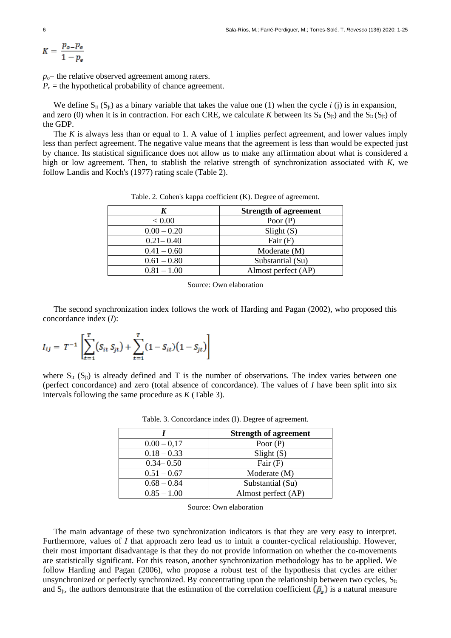$$
K = \frac{p_{o} - p_e}{1 - p_e}
$$

 $p<sub>o</sub>$ = the relative observed agreement among raters.  $P_e$  = the hypothetical probability of chance agreement.

We define  $S_{it}$  (S<sub>it</sub>) as a binary variable that takes the value one (1) when the cycle *i* (j) is in expansion, and zero (0) when it is in contraction. For each CRE, we calculate *K* between its  $S_{it}$  ( $S_{it}$ ) and the  $S_{it}$  ( $S_{it}$ ) of the GDP.

The *K* is always less than or equal to 1. A value of 1 implies perfect agreement, and lower values imply less than perfect agreement. The negative value means that the agreement is less than would be expected just by chance. Its statistical significance does not allow us to make any affirmation about what is considered a high or low agreement. Then, to stablish the relative strength of synchronization associated with *K*, we follow Landis and Koch's (1977) rating scale (Table 2).

|               | <b>Strength of agreement</b> |
|---------------|------------------------------|
| < 0.00        | Poor $(P)$                   |
| $0.00 - 0.20$ | Slight(S)                    |
| $0.21 - 0.40$ | Fair $(F)$                   |
| $0.41 - 0.60$ | Moderate (M)                 |
| $0.61 - 0.80$ | Substantial (Su)             |
| $0.81 - 1.00$ | Almost perfect (AP)          |

Table. 2. Cohen's kappa coefficient (K). Degree of agreement.

Source: Own elaboration

The second synchronization index follows the work of Harding and Pagan (2002), who proposed this concordance index (*I*):

$$
I_{ij} = T^{-1} \left[ \sum_{t=1}^{T} (S_{it} S_{jt}) + \sum_{t=1}^{T} (1 - S_{it}) (1 - S_{jt}) \right]
$$

where  $S_{it}$  ( $S_{it}$ ) is already defined and T is the number of observations. The index varies between one (perfect concordance) and zero (total absence of concordance). The values of *I* have been split into six intervals following the same procedure as *K* (Table 3).

|               | <b>Strength of agreement</b> |
|---------------|------------------------------|
| $0.00 - 0.17$ | Poor $(P)$                   |
| $0.18 - 0.33$ | Slight(S)                    |
| $0.34 - 0.50$ | Fair $(F)$                   |
| $0.51 - 0.67$ | Moderate (M)                 |
| $0.68 - 0.84$ | Substantial (Su)             |
| $0.85 - 1.00$ | Almost perfect (AP)          |

Table. 3. Concordance index (I). Degree of agreement.

Source: Own elaboration

The main advantage of these two synchronization indicators is that they are very easy to interpret. Furthermore, values of *I* that approach zero lead us to intuit a counter-cyclical relationship. However, their most important disadvantage is that they do not provide information on whether the co-movements are statistically significant. For this reason, another synchronization methodology has to be applied. We follow Harding and Pagan (2006), who propose a robust test of the hypothesis that cycles are either unsynchronized or perfectly synchronized. By concentrating upon the relationship between two cycles, S<sub>it</sub> and  $S_{jt}$ , the authors demonstrate that the estimation of the correlation coefficient  $(\hat{\rho}_s)$  is a natural measure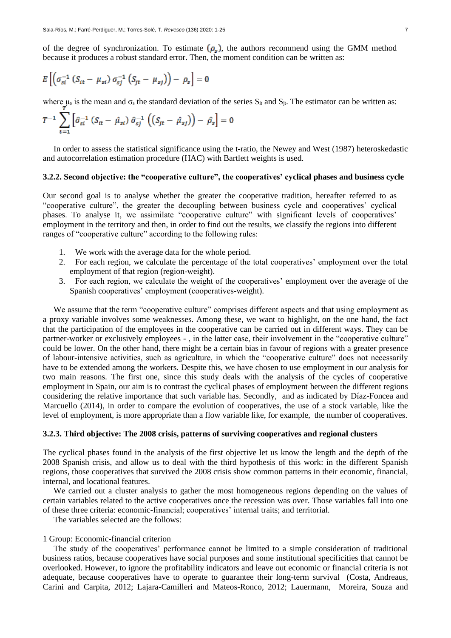of the degree of synchronization. To estimate  $(\rho_s)$ , the authors recommend using the GMM method because it produces a robust standard error. Then, the moment condition can be written as:

$$
E\left[\left(\sigma_{si}^{-1}\left(S_{it}-\mu_{si}\right)\sigma_{sj}^{-1}\left(S_{jt}-\mu_{sj}\right)\right)-\rho_{s}\right]=0
$$

where  $\mu_s$  is the mean and  $\sigma_s$  the standard deviation of the series  $S_{it}$  and  $S_{jt}$ . The estimator can be written as:

$$
T^{-1} \sum_{t=1} \left[ \hat{\sigma}_{si}^{-1} \left( S_{it} - \hat{\mu}_{si} \right) \hat{\sigma}_{sj}^{-1} \left( \left( S_{jt} - \hat{\mu}_{sj} \right) \right) - \hat{\rho}_s \right] = 0
$$

In order to assess the statistical significance using the t-ratio, the Newey and West (1987) heteroskedastic and autocorrelation estimation procedure (HAC) with Bartlett weights is used.

## **3.2.2. Second objective: the "cooperative culture", the cooperatives' cyclical phases and business cycle**

Our second goal is to analyse whether the greater the cooperative tradition, hereafter referred to as "cooperative culture", the greater the decoupling between business cycle and cooperatives' cyclical phases. To analyse it, we assimilate "cooperative culture" with significant levels of cooperatives' employment in the territory and then, in order to find out the results, we classify the regions into different ranges of "cooperative culture" according to the following rules:

- 1. We work with the average data for the whole period.
- 2. For each region, we calculate the percentage of the total cooperatives' employment over the total employment of that region (region-weight).
- 3. For each region, we calculate the weight of the cooperatives' employment over the average of the Spanish cooperatives' employment (cooperatives-weight).

We assume that the term "cooperative culture" comprises different aspects and that using employment as a proxy variable involves some weaknesses. Among these, we want to highlight, on the one hand, the fact that the participation of the employees in the cooperative can be carried out in different ways. They can be partner-worker or exclusively employees - , in the latter case, their involvement in the "cooperative culture" could be lower. On the other hand, there might be a certain bias in favour of regions with a greater presence of labour-intensive activities, such as agriculture, in which the "cooperative culture" does not necessarily have to be extended among the workers. Despite this, we have chosen to use employment in our analysis for two main reasons. The first one, since this study deals with the analysis of the cycles of cooperative employment in Spain, our aim is to contrast the cyclical phases of employment between the different regions considering the relative importance that such variable has. Secondly, and as indicated by Díaz-Foncea and Marcuello (2014), in order to compare the evolution of cooperatives, the use of a stock variable, like the level of employment, is more appropriate than a flow variable like, for example, the number of cooperatives.

#### **3.2.3. Third objective: The 2008 crisis, patterns of surviving cooperatives and regional clusters**

The cyclical phases found in the analysis of the first objective let us know the length and the depth of the 2008 Spanish crisis, and allow us to deal with the third hypothesis of this work: in the different Spanish regions, those cooperatives that survived the 2008 crisis show common patterns in their economic, financial, internal, and locational features.

We carried out a cluster analysis to gather the most homogeneous regions depending on the values of certain variables related to the active cooperatives once the recession was over. Those variables fall into one of these three criteria: economic-financial; cooperatives' internal traits; and territorial.

The variables selected are the follows:

#### 1 Group: Economic-financial criterion

The study of the cooperatives' performance cannot be limited to a simple consideration of traditional business ratios, because cooperatives have social purposes and some institutional specificities that cannot be overlooked. However, to ignore the profitability indicators and leave out economic or financial criteria is not adequate, because cooperatives have to operate to guarantee their long-term survival (Costa, Andreaus, Carini and Carpita, 2012; Lajara-Camilleri and Mateos-Ronco, 2012; Lauermann, Moreira, Souza and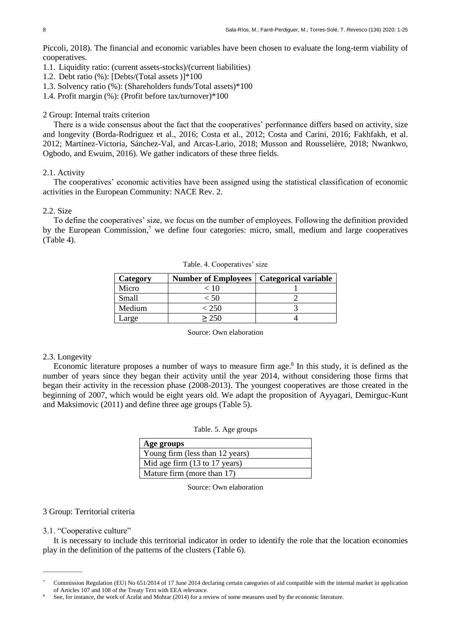Piccoli, 2018). The financial and economic variables have been chosen to evaluate the long-term viability of cooperatives.

- 1.1. Liquidity ratio: (current assets-stocks)/(current liabilities)
- 1.2. Debt ratio (%): [Debts/(Total assets )]\*100
- 1.3. Solvency ratio (%): (Shareholders funds/Total assets)\*100
- 1.4. Profit margin (%): (Profit before tax/turnover)\*100

#### 2 Group: Internal traits criterion

There is a wide consensus about the fact that the cooperatives' performance differs based on activity, size and longevity (Borda-Rodriguez et al., 2016; Costa et al., 2012; Costa and Carini, 2016; Fakhfakh, et al. 2012; Martínez-Victoria, Sánchez-Val, and Arcas-Lario, 2018; Musson and Rousselière, 2018; Nwankwo, Ogbodo, and Ewuim, 2016). We gather indicators of these three fields.

## 2.1. Activity

The cooperatives' economic activities have been assigned using the statistical classification of economic activities in the European Community: NACE Rev. 2.

#### 2.2. Size

To define the cooperatives' size, we focus on the number of employees. Following the definition provided by the European Commission, $7$  we define four categories: micro, small, medium and large cooperatives (Table 4).

| Category | <b>Number of Employees</b> | Categorical variable |
|----------|----------------------------|----------------------|
| Micro    | < 10                       |                      |
| Small    | $\leq 50$                  |                      |
| Medium   | < 250                      |                      |
| Large    |                            |                      |

Table. 4. Cooperatives' size

Source: Own elaboration

#### 2.3. Longevity

Economic literature proposes a number of ways to measure firm age.<sup>8</sup> In this study, it is defined as the number of years since they began their activity until the year 2014, without considering those firms that began their activity in the recession phase (2008-2013). The youngest cooperatives are those created in the beginning of 2007, which would be eight years old. We adapt the proposition of Ayyagari, Demirguc-Kunt and Maksimovic (2011) and define three age groups (Table 5).

|  |  |  | Table. 5. Age groups |
|--|--|--|----------------------|
|--|--|--|----------------------|

| Age groups                      |
|---------------------------------|
| Young firm (less than 12 years) |
| Mid age firm (13 to 17 years)   |
| Mature firm (more than 17)      |

Source: Own elaboration

## 3 Group: Territorial criteria

#### 3.1. "Cooperative culture"

\_\_\_\_\_\_\_\_\_\_\_\_\_

It is necessary to include this territorial indicator in order to identify the role that the location economies play in the definition of the patterns of the clusters (Table 6).

<sup>7</sup> Commission Regulation (EU) No 651/2014 of 17 June 2014 declaring certain categories of aid compatible with the internal market in application of Articles 107 and 108 of the Treaty Text with EEA relevance.

<sup>8</sup> See, for instance, the work of Arafat and Mohtar (2014) for a review of some measures used by the economic literature.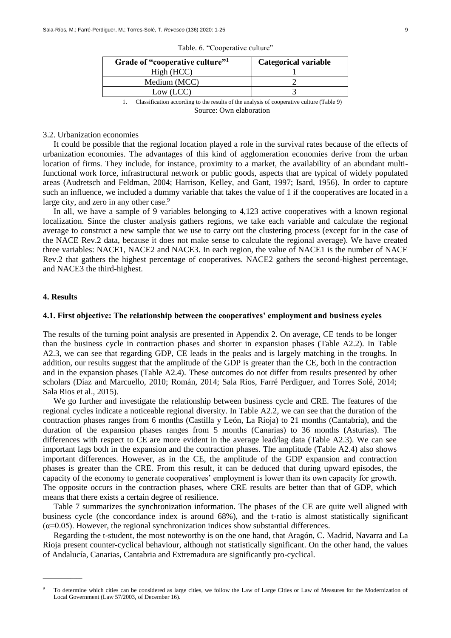| Grade of "cooperative culture"                                                           | <b>Categorical variable</b> |
|------------------------------------------------------------------------------------------|-----------------------------|
| High (HCC)                                                                               |                             |
| Medium (MCC)                                                                             |                             |
| Low (LCC)                                                                                |                             |
| Classification according to the results of the analysis of cooperative culture (Table 9) |                             |

Table. 6. "Cooperative culture"

Source: Own elaboration

## 3.2. Urbanization economies

It could be possible that the regional location played a role in the survival rates because of the effects of urbanization economies. The advantages of this kind of agglomeration economies derive from the urban location of firms. They include, for instance, proximity to a market, the availability of an abundant multifunctional work force, infrastructural network or public goods, aspects that are typical of widely populated areas (Audretsch and Feldman, 2004; Harrison, Kelley, and Gant, 1997; Isard, 1956). In order to capture such an influence, we included a dummy variable that takes the value of 1 if the cooperatives are located in a large city, and zero in any other case.<sup>9</sup>

In all, we have a sample of 9 variables belonging to 4,123 active cooperatives with a known regional localization. Since the cluster analysis gathers regions, we take each variable and calculate the regional average to construct a new sample that we use to carry out the clustering process (except for in the case of the NACE Rev.2 data, because it does not make sense to calculate the regional average). We have created three variables: NACE1, NACE2 and NACE3. In each region, the value of NACE1 is the number of NACE Rev.2 that gathers the highest percentage of cooperatives. NACE2 gathers the second-highest percentage, and NACE3 the third-highest.

## **4. Results**

 $\overline{\phantom{a}}$ 

### **4.1. First objective: The relationship between the cooperatives' employment and business cycles**

The results of the turning point analysis are presented in Appendix 2. On average, CE tends to be longer than the business cycle in contraction phases and shorter in expansion phases (Table A2.2). In Table A2.3, we can see that regarding GDP, CE leads in the peaks and is largely matching in the troughs. In addition, our results suggest that the amplitude of the GDP is greater than the CE, both in the contraction and in the expansion phases (Table A2.4). These outcomes do not differ from results presented by other scholars (Díaz and Marcuello, 2010; Román, 2014; Sala Rios, Farré Perdiguer, and Torres Solé, 2014; Sala Rios et al., 2015).

We go further and investigate the relationship between business cycle and CRE. The features of the regional cycles indicate a noticeable regional diversity. In Table A2.2, we can see that the duration of the contraction phases ranges from 6 months (Castilla y León, La Rioja) to 21 months (Cantabria), and the duration of the expansion phases ranges from 5 months (Canarias) to 36 months (Asturias). The differences with respect to CE are more evident in the average lead/lag data (Table A2.3). We can see important lags both in the expansion and the contraction phases. The amplitude (Table A2.4) also shows important differences. However, as in the CE, the amplitude of the GDP expansion and contraction phases is greater than the CRE. From this result, it can be deduced that during upward episodes, the capacity of the economy to generate cooperatives' employment is lower than its own capacity for growth. The opposite occurs in the contraction phases, where CRE results are better than that of GDP, which means that there exists a certain degree of resilience.

Table 7 summarizes the synchronization information. The phases of the CE are quite well aligned with business cycle (the concordance index is around 68%), and the t-ratio is almost statistically significant  $(\alpha=0.05)$ . However, the regional synchronization indices show substantial differences.

Regarding the t-student, the most noteworthy is on the one hand, that Aragón, C. Madrid, Navarra and La Rioja present counter-cyclical behaviour, although not statistically significant. On the other hand, the values of Andalucía, Canarias, Cantabria and Extremadura are significantly pro-cyclical.

<sup>9</sup> To determine which cities can be considered as large cities, we follow the Law of Large Cities or Law of Measures for the Modernization of Local Government (Law 57/2003, of December 16).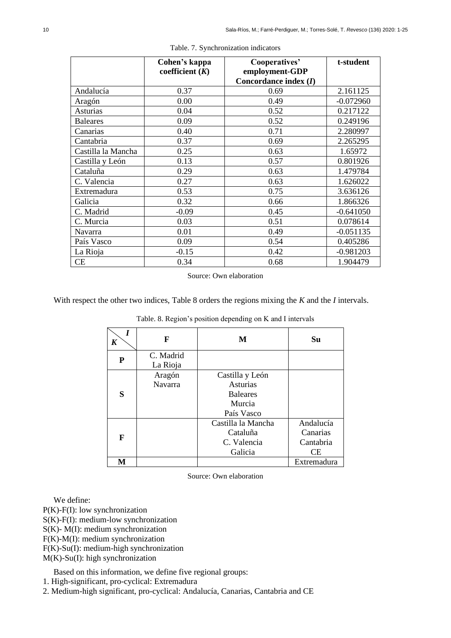|                    | Cohen's kappa<br>coefficient $(K)$ | Cooperatives'<br>employment-GDP<br>Concordance index $(I)$ | t-student   |
|--------------------|------------------------------------|------------------------------------------------------------|-------------|
| Andalucía          | 0.37                               | 0.69                                                       | 2.161125    |
| Aragón             | 0.00                               | 0.49                                                       | $-0.072960$ |
| Asturias           | 0.04                               | 0.52                                                       | 0.217122    |
| <b>Baleares</b>    | 0.09                               | 0.52                                                       | 0.249196    |
| Canarias           | 0.40                               | 0.71                                                       | 2.280997    |
| Cantabria          | 0.37                               | 0.69                                                       | 2.265295    |
| Castilla la Mancha | 0.25                               | 0.63                                                       | 1.65972     |
| Castilla y León    | 0.13                               | 0.57                                                       | 0.801926    |
| Cataluña           | 0.29                               | 0.63                                                       | 1.479784    |
| C. Valencia        | 0.27                               | 0.63                                                       | 1.626022    |
| Extremadura        | 0.53                               | 0.75                                                       | 3.636126    |
| Galicia            | 0.32                               | 0.66                                                       | 1.866326    |
| C. Madrid          | $-0.09$                            | 0.45                                                       | $-0.641050$ |
| C. Murcia          | 0.03                               | 0.51                                                       | 0.078614    |
| <b>Navarra</b>     | 0.01                               | 0.49                                                       | $-0.051135$ |
| País Vasco         | 0.09                               | 0.54                                                       | 0.405286    |
| La Rioja           | $-0.15$                            | 0.42                                                       | $-0.981203$ |
| CE                 | 0.34                               | 0.68                                                       | 1.904479    |

Table. 7. Synchronization indicators

Source: Own elaboration

With respect the other two indices, Table 8 orders the regions mixing the *K* and the *I* intervals.

| I<br>K | F                     | M                                                                      | Su                                       |
|--------|-----------------------|------------------------------------------------------------------------|------------------------------------------|
| P      | C. Madrid<br>La Rioja |                                                                        |                                          |
| S      | Aragón<br>Navarra     | Castilla y León<br>Asturias<br><b>Baleares</b><br>Murcia<br>País Vasco |                                          |
| F      |                       | Castilla la Mancha<br>Cataluña<br>C. Valencia<br>Galicia               | Andalucía<br>Canarias<br>Cantabria<br>СE |
| М      |                       |                                                                        | Extremadura                              |

Table. 8. Region's position depending on K and I intervals

Source: Own elaboration

We define:

P(K)-F(I): low synchronization

S(K)-F(I): medium-low synchronization

S(K)- M(I): medium synchronization

F(K)-M(I): medium synchronization

F(K)-Su(I): medium-high synchronization

M(K)-Su(I): high synchronization

Based on this information, we define five regional groups:

1. High-significant, pro-cyclical: Extremadura

2. Medium-high significant, pro-cyclical: Andalucía, Canarias, Cantabria and CE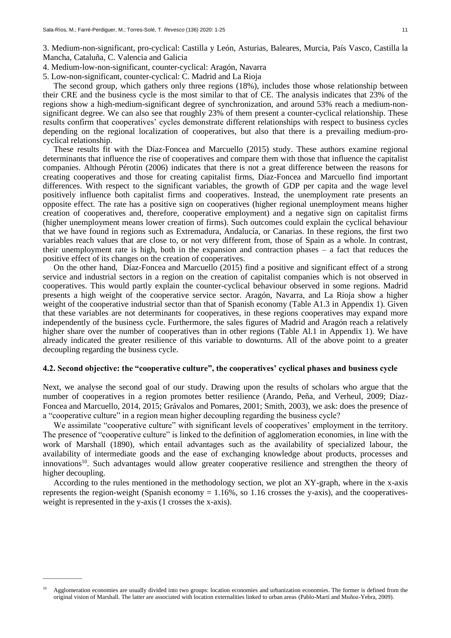3. Medium-non-significant, pro-cyclical: Castilla y León, Asturias, Baleares, Murcia, País Vasco, Castilla la Mancha, Cataluña, C. Valencia and Galicia

- 4. Medium-low-non-significant, counter-cyclical: Aragón, Navarra
- 5. Low-non-significant, counter-cyclical: C. Madrid and La Rioja

The second group, which gathers only three regions (18%), includes those whose relationship between their CRE and the business cycle is the most similar to that of CE. The analysis indicates that 23% of the regions show a high-medium-significant degree of synchronization, and around 53% reach a medium-nonsignificant degree. We can also see that roughly 23% of them present a counter-cyclical relationship. These results confirm that cooperatives' cycles demonstrate different relationships with respect to business cycles depending on the regional localization of cooperatives, but also that there is a prevailing medium-procyclical relationship.

These results fit with the Díaz-Foncea and Marcuello (2015) study. These authors examine regional determinants that influence the rise of cooperatives and compare them with those that influence the capitalist companies. Although Pérotin (2006) indicates that there is not a great difference between the reasons for creating cooperatives and those for creating capitalist firms, Díaz-Foncea and Marcuello find important differences. With respect to the significant variables, the growth of GDP per capita and the wage level positively influence both capitalist firms and cooperatives. Instead, the unemployment rate presents an opposite effect. The rate has a positive sign on cooperatives (higher regional unemployment means higher creation of cooperatives and, therefore, cooperative employment) and a negative sign on capitalist firms (higher unemployment means lower creation of firms). Such outcomes could explain the cyclical behaviour that we have found in regions such as Extremadura, Andalucía, or Canarias. In these regions, the first two variables reach values that are close to, or not very different from, those of Spain as a whole. In contrast, their unemployment rate is high, both in the expansion and contraction phases – a fact that reduces the positive effect of its changes on the creation of cooperatives.

On the other hand, Díaz-Foncea and Marcuello (2015) find a positive and significant effect of a strong service and industrial sectors in a region on the creation of capitalist companies which is not observed in cooperatives. This would partly explain the counter-cyclical behaviour observed in some regions. Madrid presents a high weight of the cooperative service sector. Aragón, Navarra, and La Rioja show a higher weight of the cooperative industrial sector than that of Spanish economy (Table A1.3 in Appendix 1). Given that these variables are not determinants for cooperatives, in these regions cooperatives may expand more independently of the business cycle. Furthermore, the sales figures of Madrid and Aragón reach a relatively higher share over the number of cooperatives than in other regions (Table Al.1 in Appendix 1). We have already indicated the greater resilience of this variable to downturns. All of the above point to a greater decoupling regarding the business cycle.

## **4.2. Second objective: the "cooperative culture", the cooperatives' cyclical phases and business cycle**

Next, we analyse the second goal of our study. Drawing upon the results of scholars who argue that the number of cooperatives in a region promotes better resilience (Arando, Peña, and Verheul, 2009; Díaz-Foncea and Marcuello, 2014, 2015; Grávalos and Pomares, 2001; Smith, 2003), we ask: does the presence of a "cooperative culture" in a region mean higher decoupling regarding the business cycle?

We assimilate "cooperative culture" with significant levels of cooperatives' employment in the territory. The presence of "cooperative culture" is linked to the definition of agglomeration economies, in line with the work of Marshall (1890), which entail advantages such as the availability of specialized labour, the availability of intermediate goods and the ease of exchanging knowledge about products, processes and innovations<sup>10</sup>. Such advantages would allow greater cooperative resilience and strengthen the theory of higher decoupling.

According to the rules mentioned in the methodology section, we plot an XY-graph, where in the x-axis represents the region-weight (Spanish economy  $= 1.16\%$ , so 1.16 crosses the y-axis), and the cooperativesweight is represented in the y-axis (1 crosses the x-axis).

 $\overline{\phantom{a}}$ 

<sup>10</sup> Agglomeration economies are usually divided into two groups: location economies and urbanization economies. The former is defined from the original vision of Marshall. The latter are associated with location externalities linked to urban areas (Pablo-Martí and Muñoz-Yebra, 2009).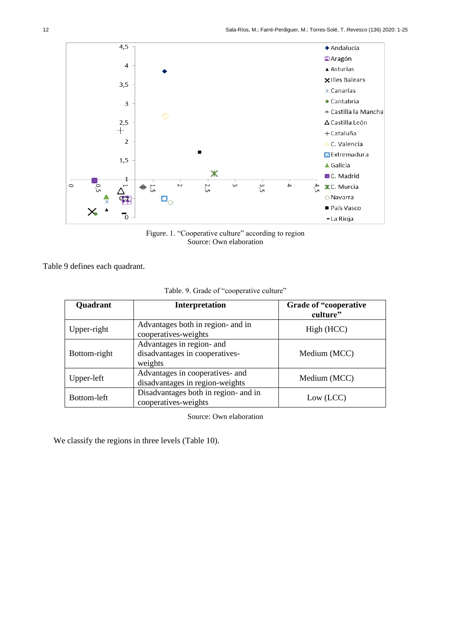

Figure. 1. "Cooperative culture" according to region Source: Own elaboration

Table 9 defines each quadrant.

| Quadrant     | Interpretation                                                         | Grade of "cooperative"<br>culture" |
|--------------|------------------------------------------------------------------------|------------------------------------|
| Upper-right  | Advantages both in region- and in<br>cooperatives-weights              | High (HCC)                         |
| Bottom-right | Advantages in region- and<br>disadvantages in cooperatives-<br>weights | Medium (MCC)                       |
| Upper-left   | Advantages in cooperatives- and<br>disadvantages in region-weights     | Medium (MCC)                       |
| Bottom-left  | Disadvantages both in region- and in<br>cooperatives-weights           | Low (LCC)                          |

Table. 9. Grade of "cooperative culture"

Source: Own elaboration

We classify the regions in three levels (Table 10).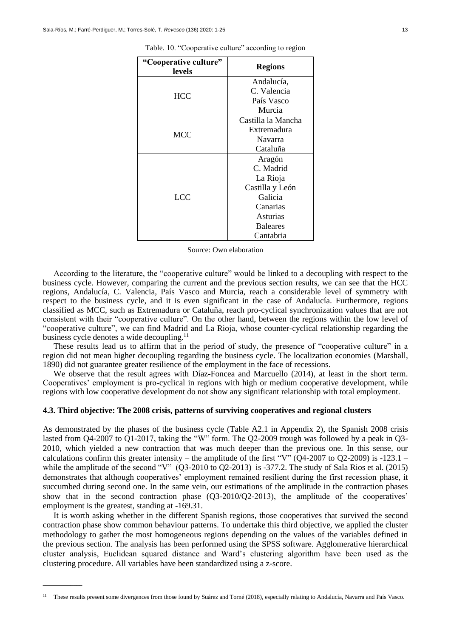| "Cooperative culture"<br>levels | <b>Regions</b>     |
|---------------------------------|--------------------|
|                                 | Andalucía,         |
| <b>HCC</b>                      | C. Valencia        |
|                                 | País Vasco         |
|                                 | Murcia             |
|                                 | Castilla la Mancha |
| <b>MCC</b>                      | Extremadura        |
|                                 | Navarra            |
|                                 | Cataluña           |
|                                 | Aragón             |
|                                 | C. Madrid          |
|                                 | La Rioja           |
|                                 | Castilla y León    |
| LCC.                            | Galicia            |
|                                 | Canarias           |
|                                 | Asturias           |
|                                 | <b>Baleares</b>    |
|                                 | Cantabria          |

Table. 10. "Cooperative culture" according to region

| Source: Own elaboration |
|-------------------------|
|-------------------------|

According to the literature, the "cooperative culture" would be linked to a decoupling with respect to the business cycle. However, comparing the current and the previous section results, we can see that the HCC regions, Andalucía, C. Valencia, País Vasco and Murcia, reach a considerable level of symmetry with respect to the business cycle, and it is even significant in the case of Andalucía. Furthermore, regions classified as MCC, such as Extremadura or Cataluña, reach pro-cyclical synchronization values that are not consistent with their "cooperative culture". On the other hand, between the regions within the low level of "cooperative culture", we can find Madrid and La Rioja, whose counter-cyclical relationship regarding the business cycle denotes a wide decoupling.<sup>11</sup>

These results lead us to affirm that in the period of study, the presence of "cooperative culture" in a region did not mean higher decoupling regarding the business cycle. The localization economies (Marshall, 1890) did not guarantee greater resilience of the employment in the face of recessions.

We observe that the result agrees with Díaz-Foncea and Marcuello (2014), at least in the short term. Cooperatives' employment is pro-cyclical in regions with high or medium cooperative development, while regions with low cooperative development do not show any significant relationship with total employment.

## **4.3. Third objective: The 2008 crisis, patterns of surviving cooperatives and regional clusters**

As demonstrated by the phases of the business cycle (Table A2.1 in Appendix 2), the Spanish 2008 crisis lasted from Q4-2007 to Q1-2017, taking the "W" form. The Q2-2009 trough was followed by a peak in Q3- 2010, which yielded a new contraction that was much deeper than the previous one. In this sense, our calculations confirm this greater intensity – the amplitude of the first "V" (Q4-2007 to Q2-2009) is -123.1 – while the amplitude of the second "V" (Q3-2010 to Q2-2013) is -377.2. The study of Sala Rios et al. (2015) demonstrates that although cooperatives' employment remained resilient during the first recession phase, it succumbed during second one. In the same vein, our estimations of the amplitude in the contraction phases show that in the second contraction phase (Q3-2010/Q2-2013), the amplitude of the cooperatives' employment is the greatest, standing at -169.31.

It is worth asking whether in the different Spanish regions, those cooperatives that survived the second contraction phase show common behaviour patterns. To undertake this third objective, we applied the cluster methodology to gather the most homogeneous regions depending on the values of the variables defined in the previous section. The analysis has been performed using the SPSS software. Agglomerative hierarchical cluster analysis, Euclidean squared distance and Ward's clustering algorithm have been used as the clustering procedure. All variables have been standardized using a z-score.

\_\_\_\_\_\_\_\_\_\_\_\_\_

<sup>&</sup>lt;sup>11</sup> These results present some divergences from those found by Suárez and Torné (2018), especially relating to Andalucía, Navarra and País Vasco.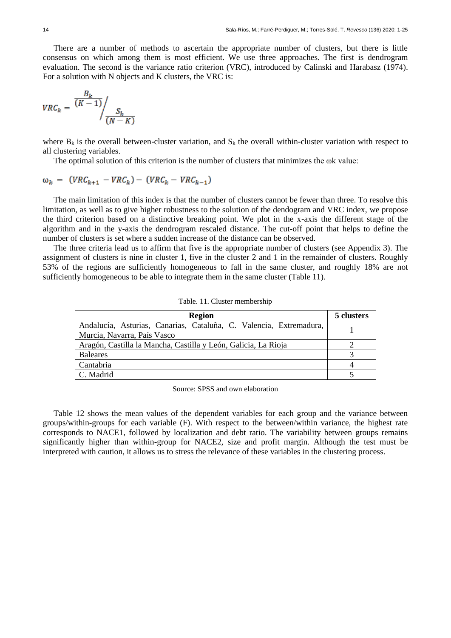There are a number of methods to ascertain the appropriate number of clusters, but there is little consensus on which among them is most efficient. We use three approaches. The first is dendrogram evaluation. The second is the variance ratio criterion (VRC), introduced by Calinski and Harabasz (1974). For a solution with N objects and K clusters, the VRC is:

$$
VRC_k = \frac{\frac{B_k}{(K-1)}}{\left(\frac{S_k}{N-K}\right)}
$$

where  $B_k$  is the overall between-cluster variation, and  $S_k$  the overall within-cluster variation with respect to all clustering variables.

The optimal solution of this criterion is the number of clusters that minimizes the ωk value:

$$
\omega_k = (VRC_{k+1} - VRC_k) - (VRC_k - VRC_{k-1})
$$

The main limitation of this index is that the number of clusters cannot be fewer than three. To resolve this limitation, as well as to give higher robustness to the solution of the dendogram and VRC index, we propose the third criterion based on a distinctive breaking point. We plot in the x-axis the different stage of the algorithm and in the y-axis the dendrogram rescaled distance. The cut-off point that helps to define the number of clusters is set where a sudden increase of the distance can be observed.

The three criteria lead us to affirm that five is the appropriate number of clusters (see Appendix 3). The assignment of clusters is nine in cluster 1, five in the cluster 2 and 1 in the remainder of clusters. Roughly 53% of the regions are sufficiently homogeneous to fall in the same cluster, and roughly 18% are not sufficiently homogeneous to be able to integrate them in the same cluster (Table 11).

| <b>Region</b>                                                                                     | 5 clusters |
|---------------------------------------------------------------------------------------------------|------------|
| Andalucía, Asturias, Canarias, Cataluña, C. Valencia, Extremadura,<br>Murcia, Navarra, País Vasco |            |
| Aragón, Castilla la Mancha, Castilla y León, Galicia, La Rioja                                    |            |
| <b>Baleares</b>                                                                                   |            |
| Cantabria                                                                                         |            |
| C. Madrid                                                                                         |            |

Table. 11. Cluster membership

Source: SPSS and own elaboration

Table 12 shows the mean values of the dependent variables for each group and the variance between groups/within-groups for each variable (F). With respect to the between/within variance, the highest rate corresponds to NACE1, followed by localization and debt ratio. The variability between groups remains significantly higher than within-group for NACE2, size and profit margin. Although the test must be interpreted with caution, it allows us to stress the relevance of these variables in the clustering process.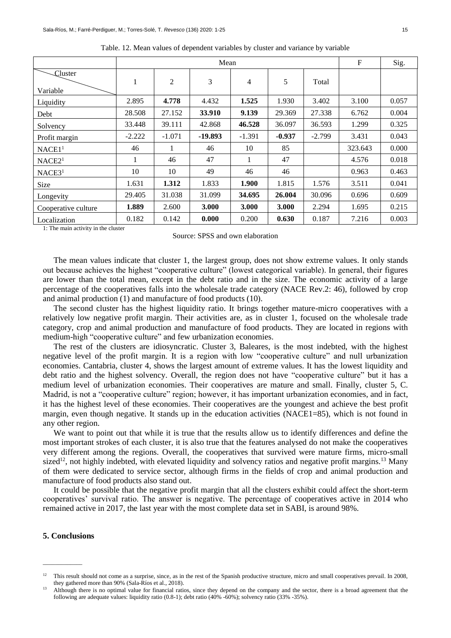|                      |          |                | Mean    |          |          |          | $\mathbf{F}$ | Sig.  |
|----------------------|----------|----------------|---------|----------|----------|----------|--------------|-------|
| Cluster<br>Variable  | 1        | $\overline{c}$ | 3       | 4        | 5        | Total    |              |       |
| Liquidity            | 2.895    | 4.778          | 4.432   | 1.525    | 1.930    | 3.402    | 3.100        | 0.057 |
| Debt                 | 28.508   | 27.152         | 33.910  | 9.139    | 29.369   | 27.338   | 6.762        | 0.004 |
| Solvency             | 33.448   | 39.111         | 42.868  | 46.528   | 36.097   | 36.593   | 1.299        | 0.325 |
| Profit margin        | $-2.222$ | $-1.071$       | -19.893 | $-1.391$ | $-0.937$ | $-2.799$ | 3.431        | 0.043 |
| NACE1 <sup>1</sup>   | 46       |                | 46      | 10       | 85       |          | 323.643      | 0.000 |
| $NACE2$ <sup>1</sup> | 1        | 46             | 47      | 1        | 47       |          | 4.576        | 0.018 |
| NACE3 <sup>1</sup>   | 10       | 10             | 49      | 46       | 46       |          | 0.963        | 0.463 |
| Size                 | 1.631    | 1.312          | 1.833   | 1.900    | 1.815    | 1.576    | 3.511        | 0.041 |
| Longevity            | 29.405   | 31.038         | 31.099  | 34.695   | 26.004   | 30.096   | 0.696        | 0.609 |
| Cooperative culture  | 1.889    | 2.600          | 3.000   | 3.000    | 3.000    | 2.294    | 1.695        | 0.215 |
| Localization         | 0.182    | 0.142          | 0.000   | 0.200    | 0.630    | 0.187    | 7.216        | 0.003 |

Table. 12. Mean values of dependent variables by cluster and variance by variable

1: The main activity in the cluster

Source: SPSS and own elaboration

The mean values indicate that cluster 1, the largest group, does not show extreme values. It only stands out because achieves the highest "cooperative culture" (lowest categorical variable). In general, their figures are lower than the total mean, except in the debt ratio and in the size. The economic activity of a large percentage of the cooperatives falls into the wholesale trade category (NACE Rev.2: 46), followed by crop and animal production (1) and manufacture of food products (10).

The second cluster has the highest liquidity ratio. It brings together mature-micro cooperatives with a relatively low negative profit margin. Their activities are, as in cluster 1, focused on the wholesale trade category, crop and animal production and manufacture of food products. They are located in regions with medium-high "cooperative culture" and few urbanization economies.

The rest of the clusters are idiosyncratic. Cluster 3, Baleares, is the most indebted, with the highest negative level of the profit margin. It is a region with low "cooperative culture" and null urbanization economies. Cantabria, cluster 4, shows the largest amount of extreme values. It has the lowest liquidity and debt ratio and the highest solvency. Overall, the region does not have "cooperative culture" but it has a medium level of urbanization economies. Their cooperatives are mature and small. Finally, cluster 5, C. Madrid, is not a "cooperative culture" region; however, it has important urbanization economies, and in fact, it has the highest level of these economies. Their cooperatives are the youngest and achieve the best profit margin, even though negative. It stands up in the education activities (NACE1=85), which is not found in any other region.

We want to point out that while it is true that the results allow us to identify differences and define the most important strokes of each cluster, it is also true that the features analysed do not make the cooperatives very different among the regions. Overall, the cooperatives that survived were mature firms, micro-small sized<sup>12</sup>, not highly indebted, with elevated liquidity and solvency ratios and negative profit margins.<sup>13</sup> Many of them were dedicated to service sector, although firms in the fields of crop and animal production and manufacture of food products also stand out.

It could be possible that the negative profit margin that all the clusters exhibit could affect the short-term cooperatives' survival ratio. The answer is negative. The percentage of cooperatives active in 2014 who remained active in 2017, the last year with the most complete data set in SABI, is around 98%.

## **5. Conclusions**

 $\overline{\phantom{a}}$ 

 $12$  This result should not come as a surprise, since, as in the rest of the Spanish productive structure, micro and small cooperatives prevail. In 2008, they gathered more than 90% (Sala-Ríos et al., 2018).

<sup>13</sup> Although there is no optimal value for financial ratios, since they depend on the company and the sector, there is a broad agreement that the following are adequate values: liquidity ratio (0.8-1); debt ratio (40% -60%); solvency ratio (33% -35%).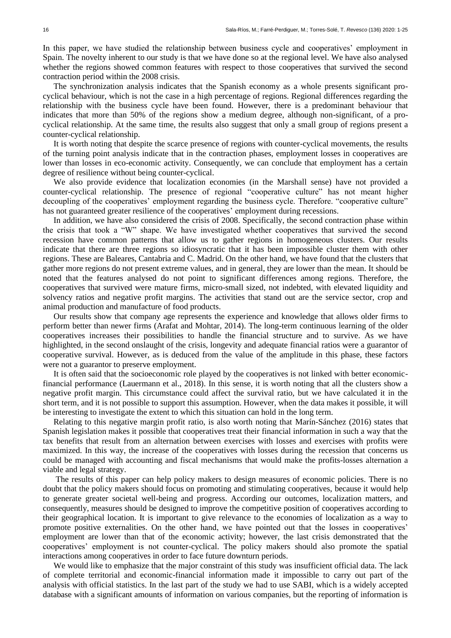In this paper, we have studied the relationship between business cycle and cooperatives' employment in Spain. The novelty inherent to our study is that we have done so at the regional level. We have also analysed whether the regions showed common features with respect to those cooperatives that survived the second contraction period within the 2008 crisis.

The synchronization analysis indicates that the Spanish economy as a whole presents significant procyclical behaviour, which is not the case in a high percentage of regions. Regional differences regarding the relationship with the business cycle have been found. However, there is a predominant behaviour that indicates that more than 50% of the regions show a medium degree, although non-significant, of a procyclical relationship. At the same time, the results also suggest that only a small group of regions present a counter-cyclical relationship.

It is worth noting that despite the scarce presence of regions with counter-cyclical movements, the results of the turning point analysis indicate that in the contraction phases, employment losses in cooperatives are lower than losses in eco-economic activity. Consequently, we can conclude that employment has a certain degree of resilience without being counter-cyclical.

We also provide evidence that localization economies (in the Marshall sense) have not provided a counter-cyclical relationship. The presence of regional "cooperative culture" has not meant higher decoupling of the cooperatives' employment regarding the business cycle. Therefore. "cooperative culture" has not guaranteed greater resilience of the cooperatives' employment during recessions.

In addition, we have also considered the crisis of 2008. Specifically, the second contraction phase within the crisis that took a "W" shape. We have investigated whether cooperatives that survived the second recession have common patterns that allow us to gather regions in homogeneous clusters. Our results indicate that there are three regions so idiosyncratic that it has been impossible cluster them with other regions. These are Baleares, Cantabria and C. Madrid. On the other hand, we have found that the clusters that gather more regions do not present extreme values, and in general, they are lower than the mean. It should be noted that the features analysed do not point to significant differences among regions. Therefore, the cooperatives that survived were mature firms, micro-small sized, not indebted, with elevated liquidity and solvency ratios and negative profit margins. The activities that stand out are the service sector, crop and animal production and manufacture of food products.

Our results show that company age represents the experience and knowledge that allows older firms to perform better than newer firms (Arafat and Mohtar, 2014). The long-term continuous learning of the older cooperatives increases their possibilities to handle the financial structure and to survive. As we have highlighted, in the second onslaught of the crisis, longevity and adequate financial ratios were a guarantor of cooperative survival. However, as is deduced from the value of the amplitude in this phase, these factors were not a guarantor to preserve employment.

It is often said that the socioeconomic role played by the cooperatives is not linked with better economicfinancial performance (Lauermann et al., 2018). In this sense, it is worth noting that all the clusters show a negative profit margin. This circumstance could affect the survival ratio, but we have calculated it in the short term, and it is not possible to support this assumption. However, when the data makes it possible, it will be interesting to investigate the extent to which this situation can hold in the long term.

Relating to this negative margin profit ratio, is also worth noting that Marín-Sánchez (2016) states that Spanish legislation makes it possible that cooperatives treat their financial information in such a way that the tax benefits that result from an alternation between exercises with losses and exercises with profits were maximized. In this way, the increase of the cooperatives with losses during the recession that concerns us could be managed with accounting and fiscal mechanisms that would make the profits-losses alternation a viable and legal strategy.

The results of this paper can help policy makers to design measures of economic policies. There is no doubt that the policy makers should focus on promoting and stimulating cooperatives, because it would help to generate greater societal well-being and progress. According our outcomes, localization matters, and consequently, measures should be designed to improve the competitive position of cooperatives according to their geographical location. It is important to give relevance to the economies of localization as a way to promote positive externalities. On the other hand, we have pointed out that the losses in cooperatives' employment are lower than that of the economic activity; however, the last crisis demonstrated that the cooperatives' employment is not counter-cyclical. The policy makers should also promote the spatial interactions among cooperatives in order to face future downturn periods.

We would like to emphasize that the major constraint of this study was insufficient official data. The lack of complete territorial and economic-financial information made it impossible to carry out part of the analysis with official statistics. In the last part of the study we had to use SABI, which is a widely accepted database with a significant amounts of information on various companies, but the reporting of information is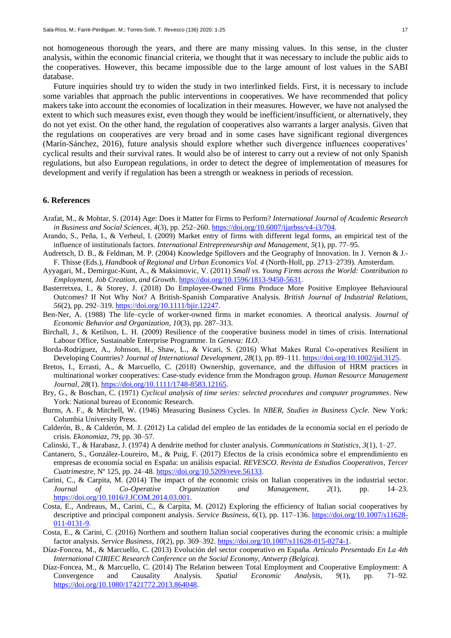not homogeneous thorough the years, and there are many missing values. In this sense, in the cluster analysis, within the economic financial criteria, we thought that it was necessary to include the public aids to the cooperatives. However, this became impossible due to the large amount of lost values in the SABI database.

Future inquiries should try to widen the study in two interlinked fields. First, it is necessary to include some variables that approach the public interventions in cooperatives. We have recommended that policy makers take into account the economies of localization in their measures. However, we have not analysed the extent to which such measures exist, even though they would be inefficient/insufficient, or alternatively, they do not yet exist. On the other hand, the regulation of cooperatives also warrants a larger analysis. Given that the regulations on cooperatives are very broad and in some cases have significant regional divergences (Marín-Sánchez, 2016), future analysis should explore whether such divergence influences cooperatives' cyclical results and their survival rates. It would also be of interest to carry out a review of not only Spanish regulations, but also European regulations, in order to detect the degree of implementation of measures for development and verify if regulation has been a strength or weakness in periods of recession.

## **6. References**

- Arafat, M., & Mohtar, S. (2014) Age: Does it Matter for Firms to Perform? *International Journal of Academic Research in Business and Social Sciences*, *4*(3), pp. 252–260. [https://doi.org/10.6007/ijarbss/v4-i3/704.](https://doi.org/10.6007/ijarbss/v4-i3/704)
- Arando, S., Peña, I., & Verheul, I. (2009) Market entry of firms with different legal forms, an empirical test of the influence of institutionals factors. *International Entrepreneurship and Management*, *5*(1), pp. 77–95.
- Audretsch, D. B., & Feldman, M. P. (2004) Knowledge Spillovers and the Geography of Innovation. In J. Vernon & J.- F. Thisse (Eds.), *Handbook of Regional and Urban Economics Vol. 4* (North-Holl, pp. 2713–2739). Amsterdam.
- Ayyagari, M., Demirguc-Kunt, A., & Maksimovic, V. (2011) *Small vs. Young Firms across the World: Contribution to Employment, Job Creation, and Growth*. [https://doi.org/10.1596/1813-9450-5631.](https://doi.org/10.1596/1813-9450-5631)
- Basterretxea, I., & Storey, J. (2018) Do Employee-Owned Firms Produce More Positive Employee Behavioural Outcomes? If Not Why Not? A British-Spanish Comparative Analysis. *British Journal of Industrial Relations*, *56*(2), pp. 292–319[. https://doi.org/10.1111/bjir.12247.](https://doi.org/10.1111/bjir.12247)
- Ben-Ner, A. (1988) The life–cycle of worker-owned firms in market economies. A theorical analysis. *Journal of Economic Behavior and Organization*, *10*(3), pp. 287–313.
- Birchall, J., & Ketilson, L. H. (2009) Resilience of the cooperative business model in times of crisis. International Labour Office, Sustainable Enterprise Programme. In *Geneva: ILO*.
- Borda-Rodríguez, A., Johnson, H., Shaw, L., & Vicari, S. (2016) What Makes Rural Co‐operatives Resilient in Developing Countries? *Journal of International Development*, *28*(1), pp. 89–111[. https://doi.org/10.1002/jid.3125.](https://doi.org/10.1002/jid.3125)
- Bretos, I., Errasti, A., & Marcuello, C. (2018) Ownership, governance, and the diffusion of HRM practices in multinational worker cooperatives: Case-study evidence from the Mondragon group. *Human Resource Management Journal*, *28*(1)[. https://doi.org/10.1111/1748-8583.12165.](https://doi.org/10.1111/1748-8583.12165)
- Bry, G., & Boschan, C. (1971) *Cyclical analysis of time series: selected procedures and computer programmes*. New York: National bureau of Economic Research.
- Burns, A. F., & Mitchell, W. (1946) Measuring Business Cycles. In *NBER, Studies in Business Cycle*. New York: Columbia University Press.
- Calderón, B., & Calderón, M. J. (2012) La calidad del empleo de las entidades de la economía social en el período de crisis. *Ekonomiaz*, *79*, pp. 30–57.
- Calinski, T., & Harabasz, J. (1974) A dendrite method for cluster analysis. *Communications in Statistics*, *3*(1), 1–27.
- Cantanero, S., González-Loureiro, M., & Puig, F. (2017) Efectos de la crisis económica sobre el emprendimiento en empresas de economía social en España: un análisis espacial. *REVESCO. Revista de Estudios Cooperativos, Tercer Cuatrimestre*, Nº 125, pp. 24–48. [https://doi.org/10.5209/reve.56133.](https://doi.org/10.5209/reve.56133)
- Carini, C., & Carpita, M. (2014) The impact of the economic crisis on Italian cooperatives in the industrial sector. *Journal of Co-Operative Organization and Management*, *2*(1), pp. 14–23. [https://doi.org/10.1016/J.JCOM.2014.03.001.](https://doi.org/10.1016/J.JCOM.2014.03.001)
- Costa, E., Andreaus, M., Carini, C., & Carpita, M. (2012) Exploring the efficiency of Italian social cooperatives by descriptive and principal component analysis. *Service Business*, *6*(1), pp. 117–136. [https://doi.org/10.1007/s11628-](https://doi.org/10.1007/s11628-011-0131-9) [011-0131-9.](https://doi.org/10.1007/s11628-011-0131-9)
- Costa, E., & Carini, C. (2016) Northern and southern Italian social cooperatives during the economic crisis: a multiple factor analysis. *Service Business*, *10*(2), pp. 369–392. [https://doi.org/10.1007/s11628-015-0274-1.](https://doi.org/10.1007/s11628-015-0274-1)
- Díaz-Foncea, M., & Marcuello, C. (2013) Evolución del sector cooperativo en España. *Artículo Presentado En La 4th International CIRIEC Research Conference on the Social Economy, Antwerp (Belgica).*
- Díaz-Foncea, M., & Marcuello, C. (2014) The Relation between Total Employment and Cooperative Employment: A Convergence and Causality Analysis. *Spatial Economic Analysis*, *9*(1), pp. 71–92. [https://doi.org/10.1080/17421772.2013.864048.](https://doi.org/10.1080/17421772.2013.864048)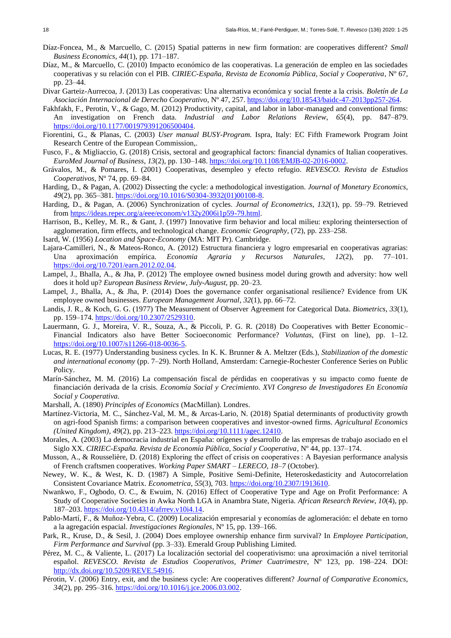- Díaz-Foncea, M., & Marcuello, C. (2015) Spatial patterns in new firm formation: are cooperatives different? *Small Business Economics*, *44*(1), pp. 171–187.
- Díaz, M., & Marcuello, C. (2010) Impacto económico de las cooperativas. La generación de empleo en las sociedades cooperativas y su relación con el PIB. *CIRIEC-España, Revista de Economía Pública, Social y Cooperativa*, Nº 67, pp. 23–44.
- Divar Garteiz-Aurrecoa, J. (2013) Las cooperativas: Una alternativa económica y social frente a la crisis. *Boletín de La Asociación Internacional de Derecho Cooperativo*, Nº 47, 257[. https://doi.org/10.18543/baidc-47-2013pp257-264.](https://doi.org/10.18543/baidc-47-2013pp257-264)
- Fakhfakh, F., Perotin, V., & Gago, M. (2012) Productivity, capital, and labor in labor-managed and conventional firms: An investigation on French data. *Industrial and Labor Relations Review*, *65*(4), pp. 847–879. [https://doi.org/10.1177/001979391206500404.](https://doi.org/10.1177/001979391206500404)
- Fiorentini, G., & Planas, C. (2003) *User manual BUSY-Program.* Ispra, Italy: EC Fifth Framework Program Joint Research Centre of the European Commission,.
- Fusco, F., & Migliaccio, G. (2018) Crisis, sectoral and geographical factors: financial dynamics of Italian cooperatives. *EuroMed Journal of Business*, *13*(2), pp. 130–148[. https://doi.org/10.1108/EMJB-02-2016-0002.](https://doi.org/10.1108/EMJB-02-2016-0002)
- Grávalos, M., & Pomares, I. (2001) Cooperativas, desempleo y efecto refugio. *REVESCO. Revista de Estudios Cooperativos*, Nº 74, pp. 69–84.
- Harding, D., & Pagan, A. (2002) Dissecting the cycle: a methodological investigation. *Journal of Monetary Economics*, *49*(2), pp. 365–381[. https://doi.org/10.1016/S0304-3932\(01\)00108-8.](https://doi.org/10.1016/S0304-3932(01)00108-8)
- Harding, D., & Pagan, A. (2006) Synchronization of cycles. *Journal of Econometrics*, *132*(1), pp. 59–79. Retrieved from [https://ideas.repec.org/a/eee/econom/v132y2006i1p59-79.html.](https://ideas.repec.org/a/eee/econom/v132y2006i1p59-79.html)
- Harrison, B., Kelley, M. R., & Gant, J. (1997) Innovative firm behavior and local milieu: exploring theintersection of agglomeration, firm effects, and technological change. *Economic Geography*, (72), pp. 233–258.
- Isard, W. (1956) *Location and Space-Economy* (MA: MIT Pr). Cambridge.
- Lajara-Camilleri, N., & Mateos-Ronco, A. (2012) Estructura financiera y logro empresarial en cooperativas agrarias: Una aproximación empírica. *Economia Agraria y Recursos Naturales*, *12*(2), pp. 77–101. [https://doi.org/10.7201/earn.2012.02.04.](https://doi.org/10.7201/earn.2012.02.04)
- Lampel, J., Bhalla, A., & Jha, P. (2012) The employee owned business model during growth and adversity: how well does it hold up? *European Business Review*, *July*-*August*, pp. 20–23.
- Lampel, J., Bhalla, A., & Jha, P. (2014) Does the governance confer organisational resilience? Evidence from UK employee owned businesses. *European Management Journal*, *32*(1), pp. 66–72.
- Landis, J. R., & Koch, G. G. (1977) The Measurement of Observer Agreement for Categorical Data. *Biometrics*, *33*(1), pp. 159–174. [https://doi.org/10.2307/2529310.](https://doi.org/10.2307/2529310)
- Lauermann, G. J., Moreira, V. R., Souza, A., & Piccoli, P. G. R. (2018) Do Cooperatives with Better Economic– Financial Indicators also have Better Socioeconomic Performance? *Voluntas*, (First on line), pp. 1–12. [https://doi.org/10.1007/s11266-018-0036-5.](https://doi.org/10.1007/s11266-018-0036-5)
- Lucas, R. E. (1977) Understanding business cycles. In K. K. Brunner & A. Meltzer (Eds.), *Stabilization of the domestic and international economy* (pp. 7–29). North Holland, Amsterdam: Carnegie-Rochester Conference Series on Public Policy.
- Marín-Sánchez, M. M. (2016) La compensación fiscal de pérdidas en cooperativas y su impacto como fuente de financiación derivada de la crisis. *Economía Social y Crecimiento. XVI Congreso de Investigadores En Economía Social y Cooperativa*.
- Marshall, A. (1890) *Principles of Economics* (MacMillan). Londres.
- Martínez-Victoria, M. C., Sánchez-Val, M. M., & Arcas-Lario, N. (2018) Spatial determinants of productivity growth on agri-food Spanish firms: a comparison between cooperatives and investor-owned firms. *Agricultural Economics (United Kingdom)*, *49*(2), pp. 213–223[. https://doi.org/10.1111/agec.12410.](https://doi.org/10.1111/agec.12410)
- Morales, A. (2003) La democracia industrial en España: orígenes y desarrollo de las empresas de trabajo asociado en el Siglo XX. *CIRIEC-España. Revista de Economía Pública, Social y Cooperativa*, Nº 44, pp. 137–174.
- Musson, A., & Rousselière, D. (2018) Exploring the effect of crisis on cooperatives : A Bayesian performance analysis of French craftsmen cooperatives. *Working Paper SMART – LERECO*, *18*–*7* (October).
- Newey, W. K., & West, K. D. (1987) A Simple, Positive Semi-Definite, Heteroskedasticity and Autocorrelation Consistent Covariance Matrix. *Econometrica*, *55*(3), 703[. https://doi.org/10.2307/1913610.](https://doi.org/10.2307/1913610)
- Nwankwo, F., Ogbodo, O. C., & Ewuim, N. (2016) Effect of Cooperative Type and Age on Profit Performance: A Study of Cooperative Societies in Awka North LGA in Anambra State, Nigeria. *African Research Review*, *10*(4), pp. 187–203. [https://doi.org/10.4314/afrrev.v10i4.14.](https://doi.org/10.4314/afrrev.v10i4.14)
- Pablo-Martí, F., & Muñoz-Yebra, C. (2009) Localización empresarial y economías de aglomeración: el debate en torno a la agregación espacial. *Investigaciones Regionales*, Nº 15, pp. 139–166.
- Park, R., Kruse, D., & Sesil, J. (2004) Does employee ownership enhance firm survival? In *Employee Participation, Firm Performance and Survival* (pp. 3–33). Emerald Group Publishing Limited.
- Pérez, M. C., & Valiente, L. (2017) La localización sectorial del cooperativismo: una aproximación a nivel territorial español. *REVESCO. Revista de Estudios Cooperativos, Primer Cuatrimestre*, Nº 123, pp. 198–224. DOI: [http://dx.doi.org/10.5209/REVE.54916.](http://dx.doi.org/10.5209/REVE.54916)
- Pérotin, V. (2006) Entry, exit, and the business cycle: Are cooperatives different? *Journal of Comparative Economics*, *34*(2), pp. 295–316[. https://doi.org/10.1016/j.jce.2006.03.002.](https://doi.org/10.1016/j.jce.2006.03.002)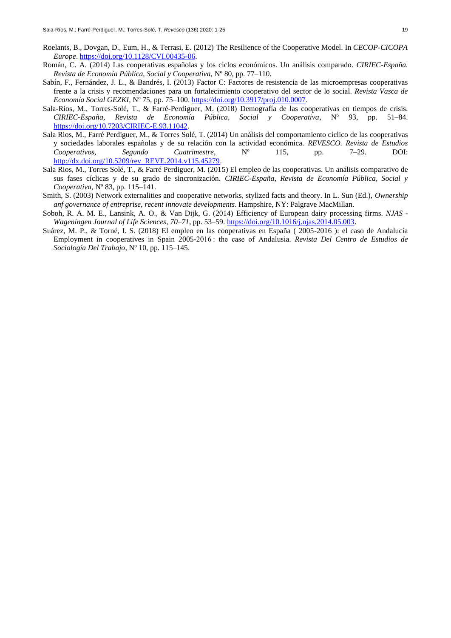- Roelants, B., Dovgan, D., Eum, H., & Terrasi, E. (2012) The Resilience of the Cooperative Model. In *CECOP-CICOPA Europe*. [https://doi.org/10.1128/CVI.00435-06.](https://doi.org/10.1128/CVI.00435-06)
- Román, C. A. (2014) Las cooperativas españolas y los ciclos económicos. Un análisis comparado. *CIRIEC-España. Revista de Economía Pública, Social y Cooperativa*, Nº 80, pp. 77–110.
- Sabín, F., Fernández, J. L., & Bandrés, I. (2013) Factor C: Factores de resistencia de las microempresas cooperativas frente a la crisis y recomendaciones para un fortalecimiento cooperativo del sector de lo social. *Revista Vasca de Economía Social GEZKI*, Nº 75, pp. 75–100. [https://doi.org/10.3917/proj.010.0007.](https://doi.org/10.3917/proj.010.0007)
- Sala-Ríos, M., Torres-Solé, T., & Farré-Perdiguer, M. (2018) Demografía de las cooperativas en tiempos de crisis. *CIRIEC-España, Revista de Economía Pública, Social y Cooperativa*, Nº 93, pp. 51–84. [https://doi.org/10.7203/CIRIEC-E.93.11042.](https://doi.org/10.7203/CIRIEC-E.93.11042)
- Sala Rios, M., Farré Perdiguer, M., & Torres Solé, T. (2014) Un análisis del comportamiento cíclico de las cooperativas y sociedades laborales españolas y de su relación con la actividad económica. *REVESCO. Revista de Estudios Cooperativos, Segundo Cuatrimestre*, Nº 115, pp. 7–29. DOI: [http://dx.doi.org/10.5209/rev\\_REVE.2014.v115.45279.](http://dx.doi.org/10.5209/rev_REVE.2014.v115.45279)
- Sala Rios, M., Torres Solé, T., & Farré Perdiguer, M. (2015) El empleo de las cooperativas. Un análisis comparativo de sus fases cíclicas y de su grado de sincronización. *CIRIEC-España, Revista de Economía Pública, Social y Cooperativa*, Nº 83, pp. 115–141.
- Smith, S. (2003) Network externalities and cooperative networks, stylized facts and theory. In L. Sun (Ed.), *Ownership anf governance of entreprise, recent innovate developments*. Hampshire, NY: Palgrave MacMillan.
- Soboh, R. A. M. E., Lansink, A. O., & Van Dijk, G. (2014) Efficiency of European dairy processing firms. *NJAS - Wageningen Journal of Life Sciences*, *70*–*71*, pp. 53–59. [https://doi.org/10.1016/j.njas.2014.05.003.](https://doi.org/10.1016/j.njas.2014.05.003)
- Suárez, M. P., & Torné, I. S. (2018) El empleo en las cooperativas en España ( 2005-2016 ): el caso de Andalucía Employment in cooperatives in Spain 2005-2016 : the case of Andalusia. *Revista Del Centro de Estudios de Sociología Del Trabajo*, Nº 10, pp. 115–145.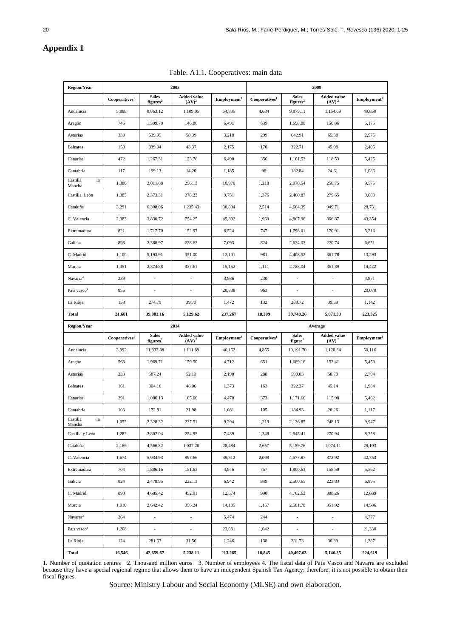## **Appendix 1**

| <b>Region/Year</b>       |                           |                                      | 2005                                    |                          | 2009                      |                                      |                                         |                         |  |
|--------------------------|---------------------------|--------------------------------------|-----------------------------------------|--------------------------|---------------------------|--------------------------------------|-----------------------------------------|-------------------------|--|
|                          | Cooperatives <sup>1</sup> | <b>Sales</b><br>figures <sup>2</sup> | <b>Added value</b><br>(AV) <sup>2</sup> | Emplovement <sup>3</sup> | Cooperatives <sup>1</sup> | <b>Sales</b><br>figures <sup>2</sup> | <b>Added value</b><br>(AV) <sup>2</sup> | Emplovment <sup>3</sup> |  |
| Andalucía                | 5,888                     | 8,863.12                             | 1,109.05                                | 54,335                   | 4,684                     | 9,879.11                             | 1,164.09                                | 49,850                  |  |
| Aragón                   | 746                       | 1,399.70                             | 146.86                                  | 6,491                    | 639                       | 1,698.08                             | 150.86                                  | 5,175                   |  |
| Asturias                 | 333                       | 539.95                               | 58.39                                   | 3,218                    | 299                       | 642.91                               | 65.58                                   | 2,975                   |  |
| <b>Baleares</b>          | 158                       | 339.94                               | 43.37                                   | 2,175                    | 170                       | 322.71                               | 45.98                                   | 2,405                   |  |
| Canarias                 | 472                       | 1,267.31                             | 123.76                                  | 6,490                    | 356                       | 1,161.53                             | 118.53                                  | 5,425                   |  |
| Cantabria                | 117                       | 199.13                               | 14.20                                   | 1,185                    | 96                        | 182.84                               | 24.61                                   | 1,086                   |  |
| Castilla<br>la<br>Mancha | 1,386                     | 2,011.68                             | 256.13                                  | 10,970                   | 1,218                     | 2,070.54                             | 250.75                                  | 9,576                   |  |
| Castilla León            | 1,385                     | 2,373.31                             | 278.23                                  | 9,751                    | 1,376                     | 2,460.87                             | 279.65                                  | 9,083                   |  |
| Cataluña                 | 3,291                     | 6,308.06                             | 1,235.43                                | 30,094                   | 2,514                     | 4,604.39                             | 949.71                                  | 28,731                  |  |
| C. Valencia              | 2,383                     | 3,830.72                             | 754.25                                  | 45,392                   | 1,969                     | 4,867.96                             | 866.87                                  | 43,354                  |  |
| Extremadura              | 821                       | 1,717.70                             | 152.97                                  | 6,524                    | 747                       | 1,798.01                             | 170.91                                  | 5,216                   |  |
| Galicia                  | 898                       | 2,388.97                             | 228.62                                  | 7,093                    | 824                       | 2,634.03                             | 220.74                                  | 6,651                   |  |
| C. Madrid                | 1,100                     | 5,193.91                             | 351.00                                  | 12,101                   | 981                       | 4,408.52                             | 361.78                                  | 13,293                  |  |
| Murcia                   | 1,351                     | 2,374.88                             | 337.61                                  | 15,152                   | 1,111                     | 2,728.04                             | 361.89                                  | 14,422                  |  |
| Navarra <sup>4</sup>     | 239                       |                                      |                                         | 3,986                    | 230                       |                                      |                                         | 4,871                   |  |
| País vasco <sup>4</sup>  | 955                       |                                      |                                         | 20,838                   | 963                       |                                      |                                         | 20,070                  |  |
| La Rioja                 | 158                       | 274.79                               | 39.73                                   | 1,472                    | 132                       | 288.72                               | 39.39                                   | 1,142                   |  |
| <b>Total</b>             | 21,681                    | 39,083.16                            | 5,129.62                                | 237,267                  | 18,309                    | 39,748.26                            | 5,071.33                                | 223,325                 |  |
| <b>Region/Year</b>       |                           |                                      | 2014                                    |                          |                           |                                      | Average                                 |                         |  |
|                          | Cooperatives <sup>1</sup> | <b>Sales</b><br>figures <sup>2</sup> | <b>Added value</b><br>(AV) <sup>2</sup> | Employment <sup>3</sup>  | Cooperatives <sup>1</sup> | <b>Sales</b><br>figure <sup>2</sup>  | <b>Added value</b><br>(AV) <sup>2</sup> | Employment <sup>3</sup> |  |
| Andalucía                | 3,992                     | 11,832.88                            | 1,111.89                                | 46,162                   | 4,855                     | 10,191.70                            | 1,128.34                                | 50,116                  |  |
| Aragón                   | 568                       | 1,969.71                             | 159.50                                  | 4,712                    | 651                       | 1,689.16                             | 152.41                                  | 5,459                   |  |
| Asturias                 | 233                       | 587.24                               | 52.13                                   | 2,190                    | 288                       | 590.03                               | 58.70                                   | 2,794                   |  |
| <b>Baleares</b>          | 161                       | 304.16                               | 46.06                                   | 1,373                    | 163                       | 322.27                               | 45.14                                   | 1,984                   |  |
| Canarias                 | 291                       | 1,086.13                             | 105.66                                  | 4,470                    | 373                       | 1,171.66                             | 115.98                                  | 5,462                   |  |
| Cantabria                | 103                       | 172.81                               | 21.98                                   | 1,081                    | 105                       | 184.93                               | 20.26                                   | 1,117                   |  |
| Castilla<br>la<br>Mancha | 1,052                     | 2,328.32                             | 237.51                                  | 9,294                    | 1,219                     | 2,136.85                             | 248.13                                  | 9,947                   |  |
| Castilla y León          | 1,282                     | 2,802.04                             | 254.95                                  | 7,439                    | 1,348                     | 2,545.41                             | 270.94                                  | 8,758                   |  |
| Cataluña                 | 2,166                     | 4,566.82                             | 1,037.20                                | 28,484                   | 2,657                     | 5,159.76                             | 1,074.11                                | 29,103                  |  |
| C. Valencia              | 1,674                     | 5,034.93                             | 997.66                                  | 39,512                   | 2,009                     | 4,577.87                             | 872.92                                  | 42,753                  |  |
| Extremadura              | 704                       | 1,886.16                             | 151.63                                  | 4,946                    | 757                       | 1,800.63                             | 158.50                                  | 5,562                   |  |
| Galicia                  | 824                       | 2,478.95                             | 222.13                                  | 6,942                    | 849                       | 2,500.65                             | 223.83                                  | 6,895                   |  |
| C. Madrid                | 890                       | 4,685.42                             | 452.01                                  | 12,674                   | 990                       | 4,762.62                             | 388.26                                  | 12,689                  |  |
| Murcia                   | 1,010                     | 2,642.42                             | 356.24                                  | 14,185                   | 1,157                     | 2,581.78                             | 351.92                                  | 14,586                  |  |
| Navarra <sup>4</sup>     | 264                       | $\overline{\phantom{a}}$             | $\mathbb{L}$                            | 5,474                    | 244                       | $\overline{\phantom{a}}$             | $\overline{\phantom{a}}$                | 4,777                   |  |
| País vasco <sup>4</sup>  | 1,208                     | $\Box$                               | $\Box$                                  | 23,081                   | 1,042                     | $\overline{\phantom{a}}$             | $\Box$                                  | 21,330                  |  |
| La Rioja                 | 124                       | 281.67                               | 31.56                                   | 1,246                    | 138                       | 281.73                               | 36.89                                   | 1,287                   |  |
|                          |                           |                                      |                                         |                          |                           |                                      |                                         |                         |  |

Table. A1.1. Cooperatives: main data

1. Number of quotation centres 2. Thousand million euros 3. Number of employees 4. The fiscal data of País Vasco and Navarra are excluded because they have a special regional regime that allows them to have an independent Spanish Tax Agency; therefore, it is not possible to obtain their fiscal figures.

Source: Ministry Labour and Social Economy (MLSE) and own elaboration.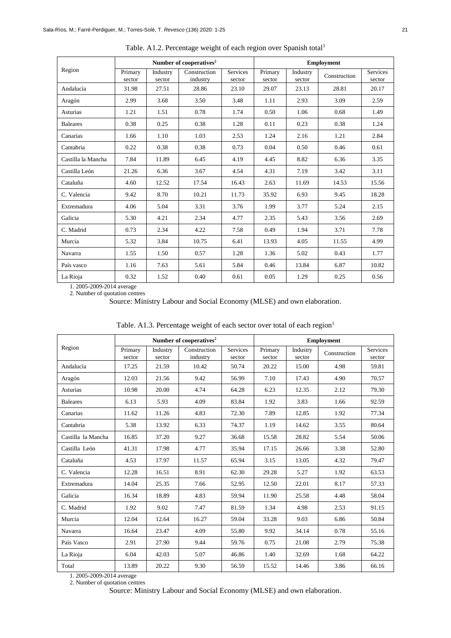|                    |                   |                    | Number of cooperatives <sup>2</sup> |                           |                   |                    | <b>Employment</b> |                           |
|--------------------|-------------------|--------------------|-------------------------------------|---------------------------|-------------------|--------------------|-------------------|---------------------------|
| Region             | Primary<br>sector | Industry<br>sector | Construction<br>industry            | <b>Services</b><br>sector | Primary<br>sector | Industry<br>sector | Construction      | <b>Services</b><br>sector |
| Andalucía          | 31.98             | 27.51              | 28.86                               | 23.10                     | 29.07             | 23.13              | 28.81             | 20.17                     |
| Aragón             | 2.99              | 3.68               | 3.50                                | 3.48                      | 1.11              | 2.93               | 3.09              | 2.59                      |
| Asturias           | 1.21              | 1.51               | 0.78                                | 1.74                      | 0.50              | 1.06               | 0.68              | 1.49                      |
| <b>Baleares</b>    | 0.38              | 0.25               | 0.38                                | 1.28                      | 0.11              | 0.23               | 0.38              | 1.24                      |
| Canarias           | 1.66              | 1.10               | 1.03                                | 2.53                      | 1.24              | 2.16               | 1.21              | 2.84                      |
| Cantabria          | 0.22              | 0.38               | 0.38                                | 0.73                      | 0.04              | 0.50               | 0.46              | 0.61                      |
| Castilla la Mancha | 7.84              | 11.89              | 6.45                                | 4.19                      | 4.45              | 8.82               | 6.36              | 3.35                      |
| Castilla León      | 21.26             | 6.36               | 3.67                                | 4.54                      | 4.31              | 7.19               | 3.42              | 3.11                      |
| Cataluña           | 4.60              | 12.52              | 17.54                               | 16.43                     | 2.63              | 11.69              | 14.53             | 15.56                     |
| C. Valencia        | 9.42              | 8.70               | 10.21                               | 11.73                     | 35.92             | 6.93               | 9.45              | 18.28                     |
| Extremadura        | 4.06              | 5.04               | 3.31                                | 3.76                      | 1.99              | 3.77               | 5.24              | 2.15                      |
| Galicia            | 5.30              | 4.21               | 2.34                                | 4.77                      | 2.35              | 5.43               | 3.56              | 2.69                      |
| C. Madrid          | 0.73              | 2.34               | 4.22                                | 7.58                      | 0.49              | 1.94               | 3.71              | 7.78                      |
| Murcia             | 5.32              | 3.84               | 10.75                               | 6.41                      | 13.93             | 4.05               | 11.55             | 4.99                      |
| Navarra            | 1.55              | 1.50               | 0.57                                | 1.28                      | 1.36              | 5.02               | 0.43              | 1.77                      |
| País vasco         | 1.16              | 7.63               | 5.61                                | 5.84                      | 0.46              | 13.84              | 6.87              | 10.82                     |
| La Rioja           | 0.32              | 1.52               | 0.40                                | 0.61                      | 0.05              | 1.29               | 0.25              | 0.56                      |

Table. A1.2. Percentage weight of each region over Spanish total<sup>1</sup>

1. 2005-2009-2014 average

2. Number of quotation centres

Source: Ministry Labour and Social Economy (MLSE) and own elaboration.

|  | Table. A1.3. Percentage weight of each sector over total of each region <sup>1</sup> |  |  |  |  |
|--|--------------------------------------------------------------------------------------|--|--|--|--|
|  |                                                                                      |  |  |  |  |

|                    |                   |                    | Number of cooperatives <sup>2</sup> |                           | <b>Employment</b> |                    |              |                           |  |
|--------------------|-------------------|--------------------|-------------------------------------|---------------------------|-------------------|--------------------|--------------|---------------------------|--|
| Region             | Primary<br>sector | Industry<br>sector | Construction<br>industry            | <b>Services</b><br>sector | Primary<br>sector | Industry<br>sector | Construction | <b>Services</b><br>sector |  |
| Andalucía          | 17.25             | 21.59              | 10.42                               | 50.74                     | 20.22             | 15.00              | 4.98         | 59.81                     |  |
| Aragón             | 12.03             | 21.56              | 9.42                                | 56.99                     | 7.10              | 17.43              | 4.90         | 70.57                     |  |
| <b>Asturias</b>    | 10.98             | 20.00              | 4.74                                | 64.28                     | 6.23              | 12.35              | 2.12         | 79.30                     |  |
| <b>Baleares</b>    | 6.13              | 5.93               | 4.09                                | 83.84                     | 1.92              | 3.83               | 1.66         | 92.59                     |  |
| Canarias           | 11.62             | 11.26              | 4.83                                | 72.30                     | 7.89              | 12.85              | 1.92         | 77.34                     |  |
| Cantabria          | 5.38              | 13.92              | 6.33                                | 74.37                     | 1.19              | 14.62              | 3.55         | 80.64                     |  |
| Castilla la Mancha | 16.85             | 37.20              | 9.27                                | 36.68                     | 15.58             | 28.82              | 5.54         | 50.06                     |  |
| Castilla León      | 41.31             | 17.98              | 4.77                                | 35.94                     | 17.15             | 26.66              | 3.38         | 52.80                     |  |
| Cataluña           | 4.53              | 17.97              | 11.57                               | 65.94                     | 3.15              | 13.05              | 4.32         | 79.47                     |  |
| C. Valencia        | 12.28             | 16.51              | 8.91                                | 62.30                     | 29.28             | 5.27               | 1.92         | 63.53                     |  |
| Extremadura        | 14.04             | 25.35              | 7.66                                | 52.95                     | 12.50             | 22.01              | 8.17         | 57.33                     |  |
| Galicia            | 16.34             | 18.89              | 4.83                                | 59.94                     | 11.90             | 25.58              | 4.48         | 58.04                     |  |
| C. Madrid          | 1.92              | 9.02               | 7.47                                | 81.59                     | 1.34              | 4.98               | 2.53         | 91.15                     |  |
| Murcia             | 12.04             | 12.64              | 16.27                               | 59.04                     | 33.28             | 9.03               | 6.86         | 50.84                     |  |
| Navarra            | 16.64             | 23.47              | 4.09                                | 55.80                     | 9.92              | 34.14              | 0.78         | 55.16                     |  |
| País Vasco         | 2.91              | 27.90              | 9.44                                | 59.76                     | 0.75              | 21.08              | 2.79         | 75.38                     |  |
| La Rioja           | 6.04              | 42.03              | 5.07                                | 46.86                     | 1.40              | 32.69              | 1.68         | 64.22                     |  |
| Total              | 13.89             | 20.22              | 9.30                                | 56.59                     | 15.52             | 14.46              | 3.86         | 66.16                     |  |

1. 2005-2009-2014 average 2. Number of quotation centres

Source: Ministry Labour and Social Economy (MLSE) and own elaboration.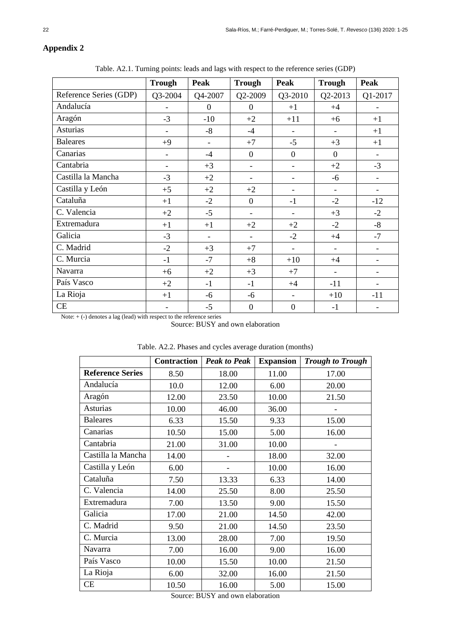## **Appendix 2**

Table. A2.1. Turning points: leads and lags with respect to the reference series (GDP)

|                        | <b>Trough</b>            | Peak         | <b>Trough</b>            | <b>Peak</b>              | <b>Trough</b>            | <b>Peak</b>              |
|------------------------|--------------------------|--------------|--------------------------|--------------------------|--------------------------|--------------------------|
| Reference Series (GDP) | Q3-2004                  | Q4-2007      | Q2-2009                  | Q3-2010                  | Q2-2013                  | Q1-2017                  |
| Andalucía              |                          | $\mathbf{0}$ | $\overline{0}$           | $+1$                     | $+4$                     |                          |
| Aragón                 | $-3$                     | $-10$        | $+2$                     | $+11$                    | $+6$                     | $+1$                     |
| <b>Asturias</b>        |                          | $-8$         | $-4$                     | $\overline{\phantom{a}}$ |                          | $+1$                     |
| <b>Baleares</b>        | $+9$                     |              | $+7$                     | $-5$                     | $+3$                     | $+1$                     |
| Canarias               | $\overline{\phantom{a}}$ | $-4$         | $\boldsymbol{0}$         | $\boldsymbol{0}$         | $\boldsymbol{0}$         | $\overline{\phantom{a}}$ |
| Cantabria              | $\overline{\phantom{a}}$ | $+3$         | $\overline{\phantom{a}}$ | $\overline{\phantom{a}}$ | $+2$                     | $-3$                     |
| Castilla la Mancha     | $-3$                     | $+2$         | $\overline{\phantom{a}}$ | $\overline{\phantom{0}}$ | $-6$                     | $\qquad \qquad -$        |
| Castilla y León        | $+5$                     | $+2$         | $+2$                     |                          |                          |                          |
| Cataluña               | $+1$                     | $-2$         | $\overline{0}$           | $-1$                     | $-2$                     | $-12$                    |
| C. Valencia            | $+2$                     | $-5$         | $\blacksquare$           | $\overline{\phantom{a}}$ | $+3$                     | $-2$                     |
| Extremadura            | $+1$                     | $+1$         | $+2$                     | $+2$                     | $-2$                     | $-8$                     |
| Galicia                | $-3$                     |              | $\overline{a}$           | $-2$                     | $+4$                     | $-7$                     |
| C. Madrid              | $-2$                     | $+3$         | $+7$                     | $\overline{\phantom{a}}$ | $\overline{\phantom{a}}$ | $\qquad \qquad -$        |
| C. Murcia              | $-1$                     | $-7$         | $+8$                     | $+10$                    | $+4$                     | $\overline{\phantom{a}}$ |
| Navarra                | $+6$                     | $+2$         | $+3$                     | $+7$                     |                          |                          |
| País Vasco             | $+2$                     | $-1$         | $-1$                     | $+4$                     | $-11$                    |                          |
| La Rioja               | $+1$                     | $-6$         | $-6$                     | $\overline{\phantom{a}}$ | $+10$                    | $-11$                    |
| CE                     |                          | $-5$         | $\boldsymbol{0}$         | $\boldsymbol{0}$         | $-1$                     |                          |

Note:  $+ (-)$  denotes a lag (lead) with respect to the reference series

Source: BUSY and own elaboration

|                         | <b>Contraction</b> | <b>Peak to Peak</b> | <b>Expansion</b> | <b>Trough to Trough</b> |
|-------------------------|--------------------|---------------------|------------------|-------------------------|
| <b>Reference Series</b> | 8.50               | 18.00               | 11.00            | 17.00                   |
| Andalucía               | 10.0               | 12.00               | 6.00             | 20.00                   |
| Aragón                  | 12.00              | 23.50               | 10.00            | 21.50                   |
| Asturias                | 10.00              | 46.00               | 36.00            |                         |
| <b>Baleares</b>         | 6.33               | 15.50               | 9.33             | 15.00                   |
| Canarias                | 10.50              | 15.00               | 5.00             | 16.00                   |
| Cantabria               | 21.00              | 31.00               | 10.00            |                         |
| Castilla la Mancha      | 14.00              |                     | 18.00            | 32.00                   |
| Castilla y León         | 6.00               | -                   | 10.00            | 16.00                   |
| Cataluña                | 7.50               | 13.33               | 6.33             | 14.00                   |
| C. Valencia             | 14.00              | 25.50               | 8.00             | 25.50                   |
| Extremadura             | 7.00               | 13.50               | 9.00             | 15.50                   |
| Galicia                 | 17.00              | 21.00               | 14.50            | 42.00                   |
| C. Madrid               | 9.50               | 21.00               | 14.50            | 23.50                   |
| C. Murcia               | 13.00              | 28.00               | 7.00             | 19.50                   |
| Navarra                 | 7.00               | 16.00               | 9.00             | 16.00                   |
| País Vasco              | 10.00              | 15.50               | 10.00            | 21.50                   |
| La Rioja                | 6.00               | 32.00               | 16.00            | 21.50                   |
| CE                      | 10.50              | 16.00               | 5.00             | 15.00                   |

|  |  |  | Table. A2.2. Phases and cycles average duration (months) |  |
|--|--|--|----------------------------------------------------------|--|
|  |  |  |                                                          |  |

Source: BUSY and own elaboration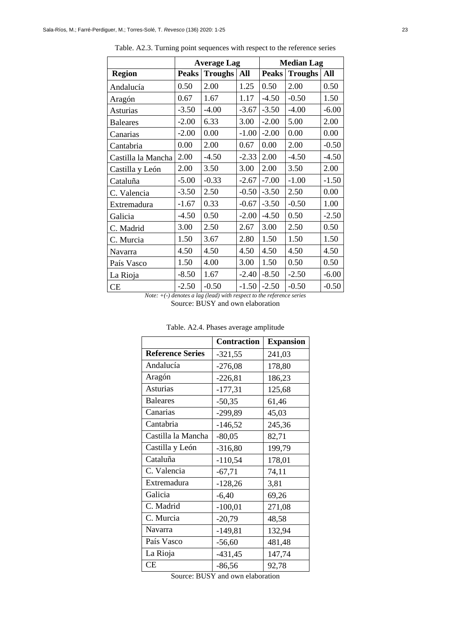|                    |              | <b>Average Lag</b> |         |              | <b>Median Lag</b> |         |
|--------------------|--------------|--------------------|---------|--------------|-------------------|---------|
| <b>Region</b>      | <b>Peaks</b> | <b>Troughs</b>     | All     | <b>Peaks</b> | <b>Troughs</b>    | All     |
| Andalucía          | 0.50         | 2.00               | 1.25    | 0.50         | 2.00              | 0.50    |
| Aragón             | 0.67         | 1.67               | 1.17    | $-4.50$      | $-0.50$           | 1.50    |
| <b>Asturias</b>    | $-3.50$      | $-4.00$            | $-3.67$ | $-3.50$      | $-4.00$           | $-6.00$ |
| <b>Baleares</b>    | $-2.00$      | 6.33               | 3.00    | $-2.00$      | 5.00              | 2.00    |
| Canarias           | $-2.00$      | 0.00               | $-1.00$ | $-2.00$      | 0.00              | 0.00    |
| Cantabria          | 0.00         | 2.00               | 0.67    | 0.00         | 2.00              | $-0.50$ |
| Castilla la Mancha | 2.00         | $-4.50$            | $-2.33$ | 2.00         | $-4.50$           | $-4.50$ |
| Castilla y León    | 2.00         | 3.50               | 3.00    | 2.00         | 3.50              | 2.00    |
| Cataluña           | $-5.00$      | $-0.33$            | $-2.67$ | $-7.00$      | $-1.00$           | $-1.50$ |
| C. Valencia        | $-3.50$      | 2.50               | $-0.50$ | $-3.50$      | 2.50              | 0.00    |
| Extremadura        | $-1.67$      | 0.33               | $-0.67$ | $-3.50$      | $-0.50$           | 1.00    |
| Galicia            | $-4.50$      | 0.50               | $-2.00$ | $-4.50$      | 0.50              | $-2.50$ |
| C. Madrid          | 3.00         | 2.50               | 2.67    | 3.00         | 2.50              | 0.50    |
| C. Murcia          | 1.50         | 3.67               | 2.80    | 1.50         | 1.50              | 1.50    |
| Navarra            | 4.50         | 4.50               | 4.50    | 4.50         | 4.50              | 4.50    |
| País Vasco         | 1.50         | 4.00               | 3.00    | 1.50         | 0.50              | 0.50    |
| La Rioja           | $-8.50$      | 1.67               | $-2.40$ | $-8.50$      | $-2.50$           | $-6.00$ |
| CE                 | $-2.50$      | $-0.50$            | $-1.50$ | $-2.50$      | $-0.50$           | $-0.50$ |

Table. A2.3. Turning point sequences with respect to the reference series

*Note: +(-) denotes a lag (lead) with respect to the reference series* Source: BUSY and own elaboration

|                         | <b>Contraction</b> | <b>Expansion</b> |
|-------------------------|--------------------|------------------|
| <b>Reference Series</b> | $-321,55$          | 241,03           |
| Andalucía               | $-276,08$          | 178,80           |
| Aragón                  | $-226,81$          | 186,23           |
| <b>Asturias</b>         | $-177,31$          | 125,68           |
| <b>Baleares</b>         | $-50,35$           | 61,46            |
| Canarias                | $-299,89$          | 45,03            |
| Cantabria               | $-146,52$          | 245,36           |
| Castilla la Mancha      | $-80,05$           | 82,71            |
| Castilla y León         | $-316,80$          | 199,79           |
| Cataluña                | $-110,54$          | 178,01           |
| C. Valencia             | $-67,71$           | 74,11            |
| Extremadura             | $-128,26$          | 3,81             |
| Galicia                 | $-6,40$            | 69,26            |
| C. Madrid               | $-100,01$          | 271,08           |
| C. Murcia               | $-20,79$           | 48,58            |
| Navarra                 | $-149,81$          | 132,94           |
| País Vasco              | $-56,60$           | 481,48           |
| La Rioja                | $-431,45$          | 147,74           |
| <b>CE</b>               | $-86,56$           | 92,78            |

Table. A2.4. Phases average amplitude

Source: BUSY and own elaboration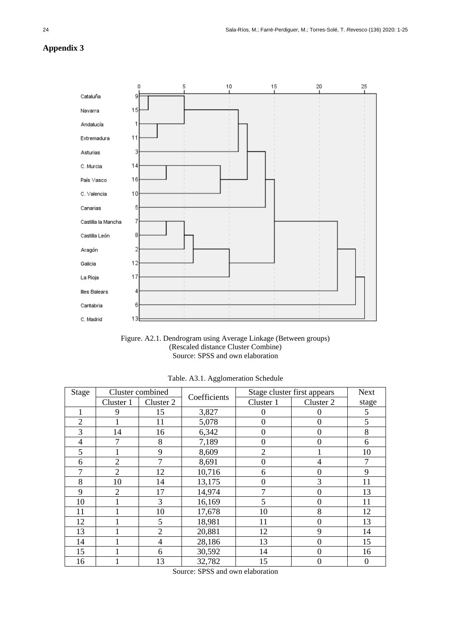## **Appendix 3**





| Stage          |                | Cluster combined | Coefficients |                  | Stage cluster first appears | <b>Next</b>      |
|----------------|----------------|------------------|--------------|------------------|-----------------------------|------------------|
|                | Cluster 1      | Cluster 2        |              | Cluster 1        | Cluster 2                   | stage            |
|                | 9              | 15               | 3,827        | $\theta$         | 0                           | 5                |
| $\overline{2}$ |                | 11               | 5,078        | $\theta$         | 0                           | 5                |
| 3              | 14             | 16               | 6,342        | $\overline{0}$   | 0                           | 8                |
| 4              | 7              | 8                | 7,189        | 0                | 0                           | 6                |
| 5              |                | 9                | 8,609        | $\overline{2}$   |                             | 10               |
| 6              | $\overline{2}$ | 7                | 8,691        | $\overline{0}$   | 4                           | 7                |
| $\mathcal{I}$  | $\overline{2}$ | 12               | 10,716       | 6                | 0                           | 9                |
| 8              | 10             | 14               | 13,175       | $\boldsymbol{0}$ | 3                           | 11               |
| 9              | $\overline{2}$ | 17               | 14,974       | 7                | 0                           | 13               |
| 10             |                | 3                | 16,169       | 5                | 0                           | 11               |
| 11             |                | 10               | 17,678       | 10               | 8                           | 12               |
| 12             |                | 5                | 18,981       | 11               | 0                           | 13               |
| 13             |                | $\overline{2}$   | 20,881       | 12               | 9                           | 14               |
| 14             |                | $\overline{4}$   | 28,186       | 13               | $\theta$                    | 15               |
| 15             |                | 6                | 30,592       | 14               | 0                           | 16               |
| 16             |                | 13               | 32,782       | 15               | 0                           | $\boldsymbol{0}$ |

Table. A3.1. Agglomeration Schedule

Source: SPSS and own elaboration